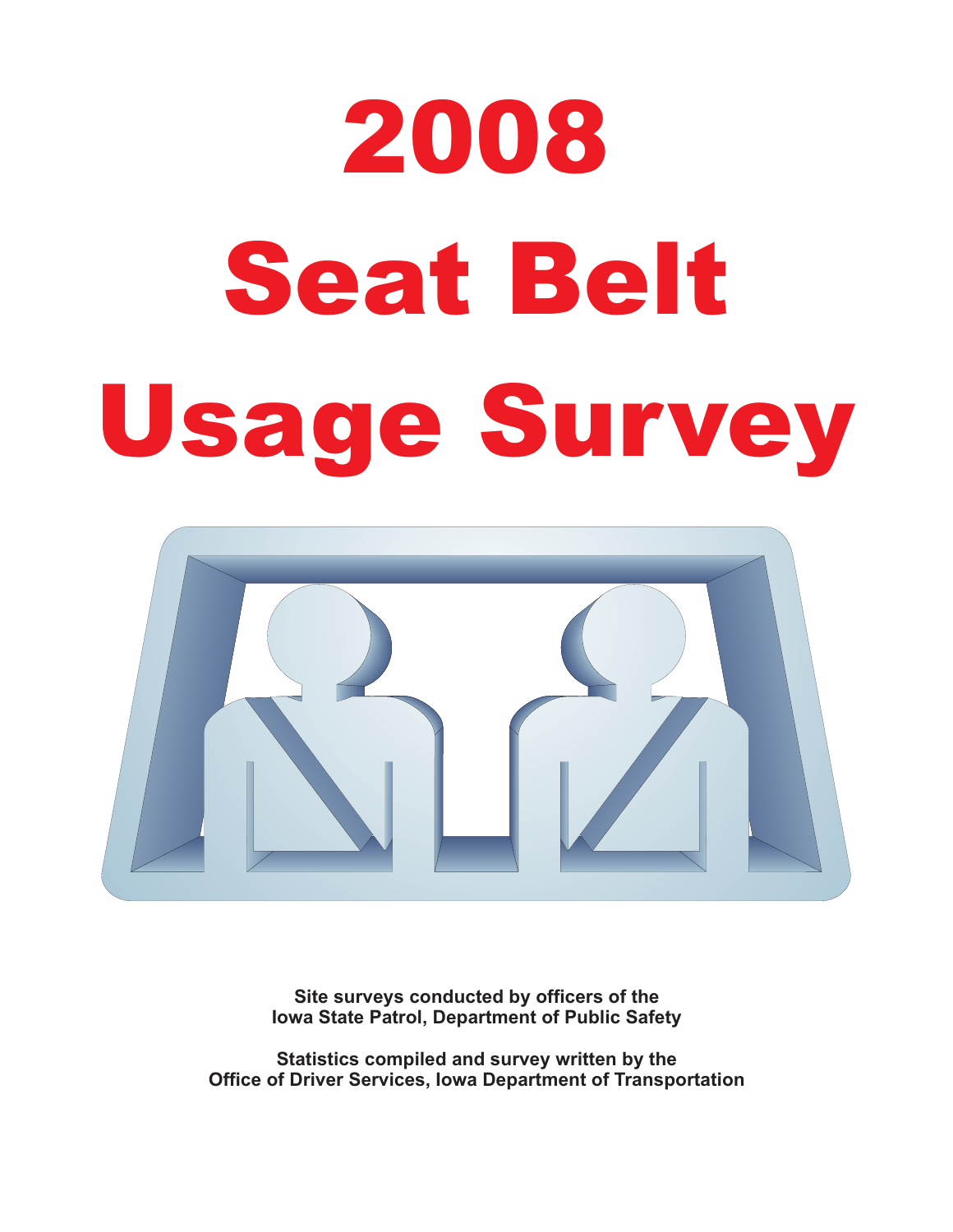# 2008 Seat Belt Seat Belti Belti Belti Belti Belti Belti Belti Belti Belti Belti Belti Belti Belti Belti Belti Belti Belti Be<br>Seat Belti Belti Belti Belti Belti Belti Belti Belti Belti Belti Belti Belti Belti Belti Belti Belti Belti Bel



**Site surveys conducted by officers of the Iowa State Patrol, Department of Public Safety**

**Statistics compiled and survey written by the Office of Driver Services, Iowa Department of Transportation**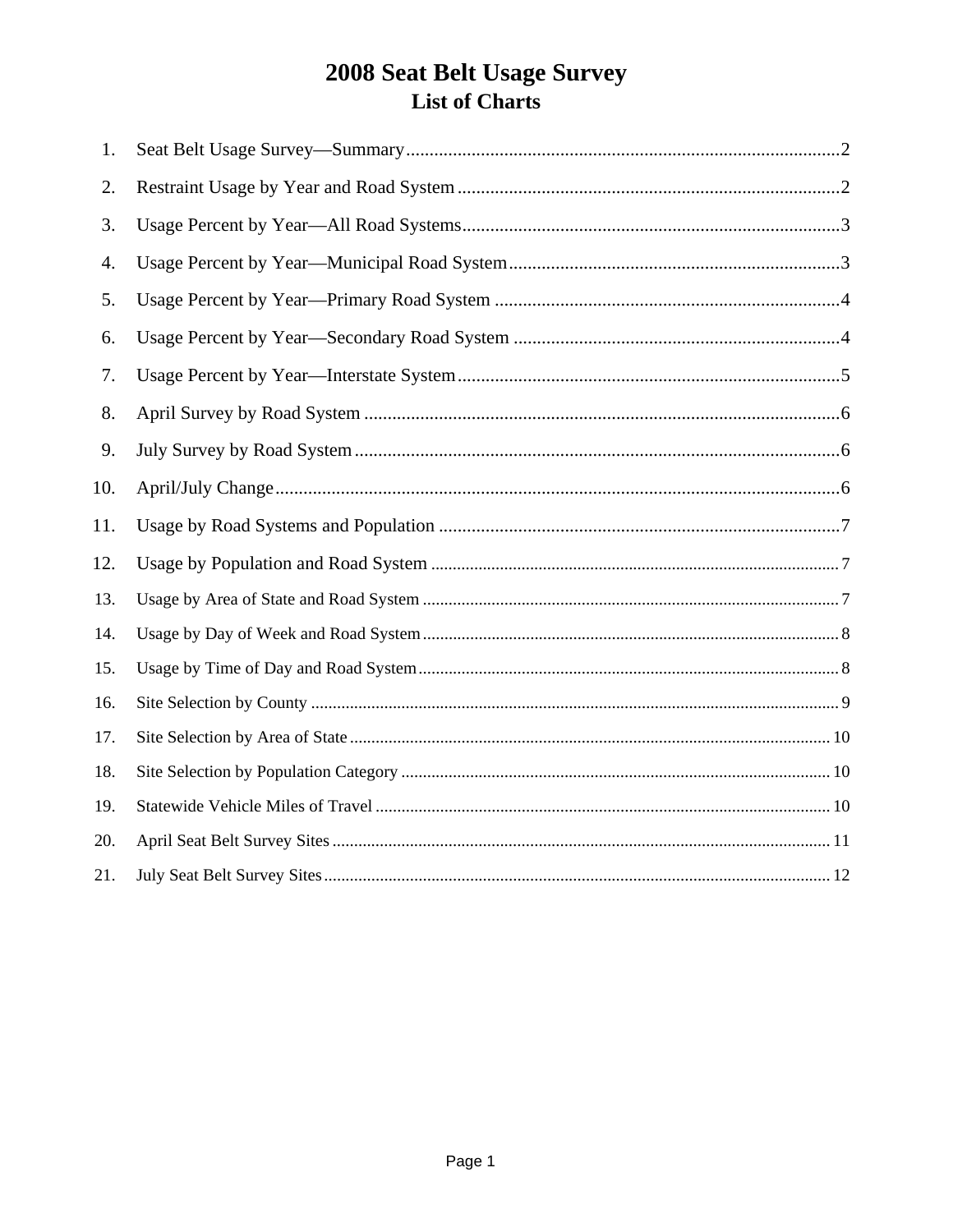## 2008 Seat Belt Usage Survey List of Charts

| 1.  |  |
|-----|--|
| 2.  |  |
| 3.  |  |
| 4.  |  |
| 5.  |  |
| 6.  |  |
| 7.  |  |
| 8.  |  |
| 9.  |  |
| 10. |  |
| 11. |  |
| 12. |  |
| 13. |  |
| 14. |  |
| 15. |  |
| 16. |  |
| 17. |  |
| 18. |  |
| 19. |  |
| 20. |  |
| 21. |  |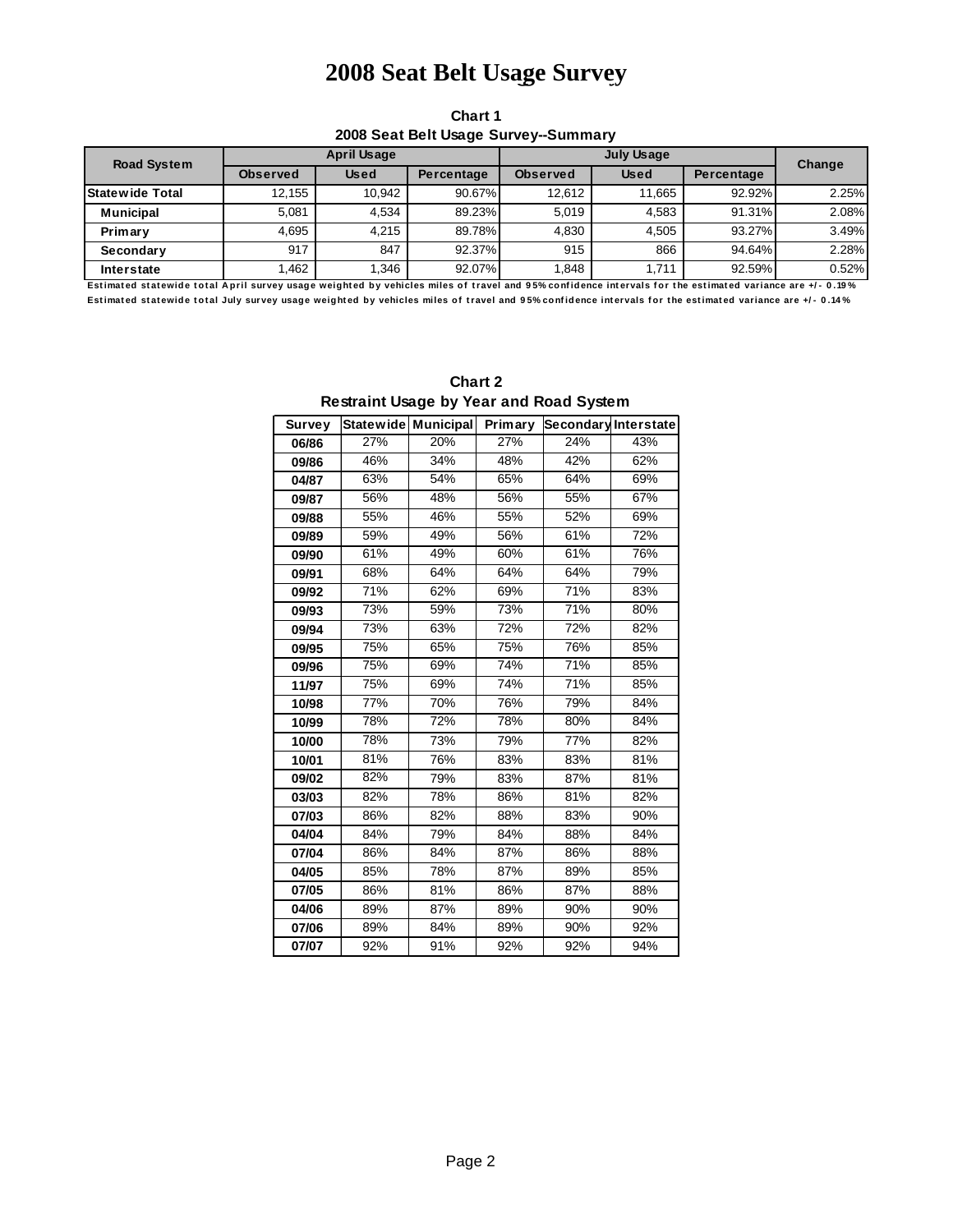### **2010 Sat Belt Usage Survey 2008 Seat Belt Usage Survey**

**Chart 1 2008 Seat Belt Usage Survey--Summary**

| <b>Road System</b>     | April Usage     |             |            |                 | Change      |            |       |
|------------------------|-----------------|-------------|------------|-----------------|-------------|------------|-------|
|                        | <b>Observed</b> | <b>Used</b> | Percentage | <b>Observed</b> | <b>Used</b> | Percentage |       |
| <b>Statewide Total</b> | 12.155          | 10.942      | 90.67%     | 12.612          | 11.665      | 92.92%     | 2.25% |
| <b>Municipal</b>       | 5.081           | 4.534       | 89.23%     | 5.019           | 4.583       | 91.31%     | 2.08% |
| Primary                | 4.695           | 4.215       | 89.78%     | 4.830           | 4.505       | 93.27%     | 3.49% |
| Secondary              | 917             | 847         | 92.37%     | 915             | 866         | 94.64%     | 2.28% |
| <b>Interstate</b>      | 1.462           | 1.346       | 92.07%     | 1.848           | 1.711       | 92.59%     | 0.52% |

**Est imat ed st at ewide t ot al A pril survey usage weight ed by vehicles miles of t ravel and 9 5% conf idence int ervals f or t he est imat ed variance are +/ - 0 .19 %** Estimated statewide total July survey usage weighted by vehicles miles of travel and 95% confidence intervals for the estimated variance are +/- 0.14%

| Resuming oxyge by Tear and Road Oystem |     |                     |         |                             |     |  |  |  |  |
|----------------------------------------|-----|---------------------|---------|-----------------------------|-----|--|--|--|--|
| Survey                                 |     | Statewide Municipal | Primary | <b>Secondary Interstate</b> |     |  |  |  |  |
| 06/86                                  | 27% | 20%                 | 27%     | 24%                         | 43% |  |  |  |  |
| 09/86                                  | 46% | 34%                 | 48%     | 42%                         | 62% |  |  |  |  |
| 04/87                                  | 63% | 54%                 | 65%     | 64%                         | 69% |  |  |  |  |
| 09/87                                  | 56% | 48%                 | 56%     | 55%                         | 67% |  |  |  |  |
| 09/88                                  | 55% | 46%                 | 55%     | 52%                         | 69% |  |  |  |  |
| 09/89                                  | 59% | 49%                 | 56%     | 61%                         | 72% |  |  |  |  |
| 09/90                                  | 61% | 49%                 | 60%     | 61%                         | 76% |  |  |  |  |
| 09/91                                  | 68% | 64%                 | 64%     | 64%                         | 79% |  |  |  |  |
| 09/92                                  | 71% | 62%                 | 69%     | 71%                         | 83% |  |  |  |  |
| 09/93                                  | 73% | 59%                 | 73%     | 71%                         | 80% |  |  |  |  |
| 09/94                                  | 73% | 63%                 | 72%     | 72%                         | 82% |  |  |  |  |
| 09/95                                  | 75% | 65%                 | 75%     | 76%                         | 85% |  |  |  |  |
| 09/96                                  | 75% | 69%                 | 74%     | 71%                         | 85% |  |  |  |  |
| 11/97                                  | 75% | 69%                 | 74%     | 71%                         | 85% |  |  |  |  |
| 10/98                                  | 77% | 70%                 | 76%     | 79%                         | 84% |  |  |  |  |
| 10/99                                  | 78% | 72%                 | 78%     | 80%                         | 84% |  |  |  |  |
| 10/00                                  | 78% | 73%                 | 79%     | 77%                         | 82% |  |  |  |  |
| 10/01                                  | 81% | 76%                 | 83%     | 83%                         | 81% |  |  |  |  |
| 09/02                                  | 82% | 79%                 | 83%     | 87%                         | 81% |  |  |  |  |
| 03/03                                  | 82% | 78%                 | 86%     | 81%                         | 82% |  |  |  |  |
| 07/03                                  | 86% | 82%                 | 88%     | 83%                         | 90% |  |  |  |  |
| 04/04                                  | 84% | 79%                 | 84%     | 88%                         | 84% |  |  |  |  |
| 07/04                                  | 86% | 84%                 | 87%     | 86%                         | 88% |  |  |  |  |
| 04/05                                  | 85% | 78%                 | 87%     | 89%                         | 85% |  |  |  |  |
| 07/05                                  | 86% | 81%                 | 86%     | 87%                         | 88% |  |  |  |  |
| 04/06                                  | 89% | 87%                 | 89%     | 90%                         | 90% |  |  |  |  |
| 07/06                                  | 89% | 84%                 | 89%     | 90%                         | 92% |  |  |  |  |
| 07/07                                  | 92% | 91%                 | 92%     | 92%                         | 94% |  |  |  |  |

**Chart 2 Restraint Usage by Year and Road System**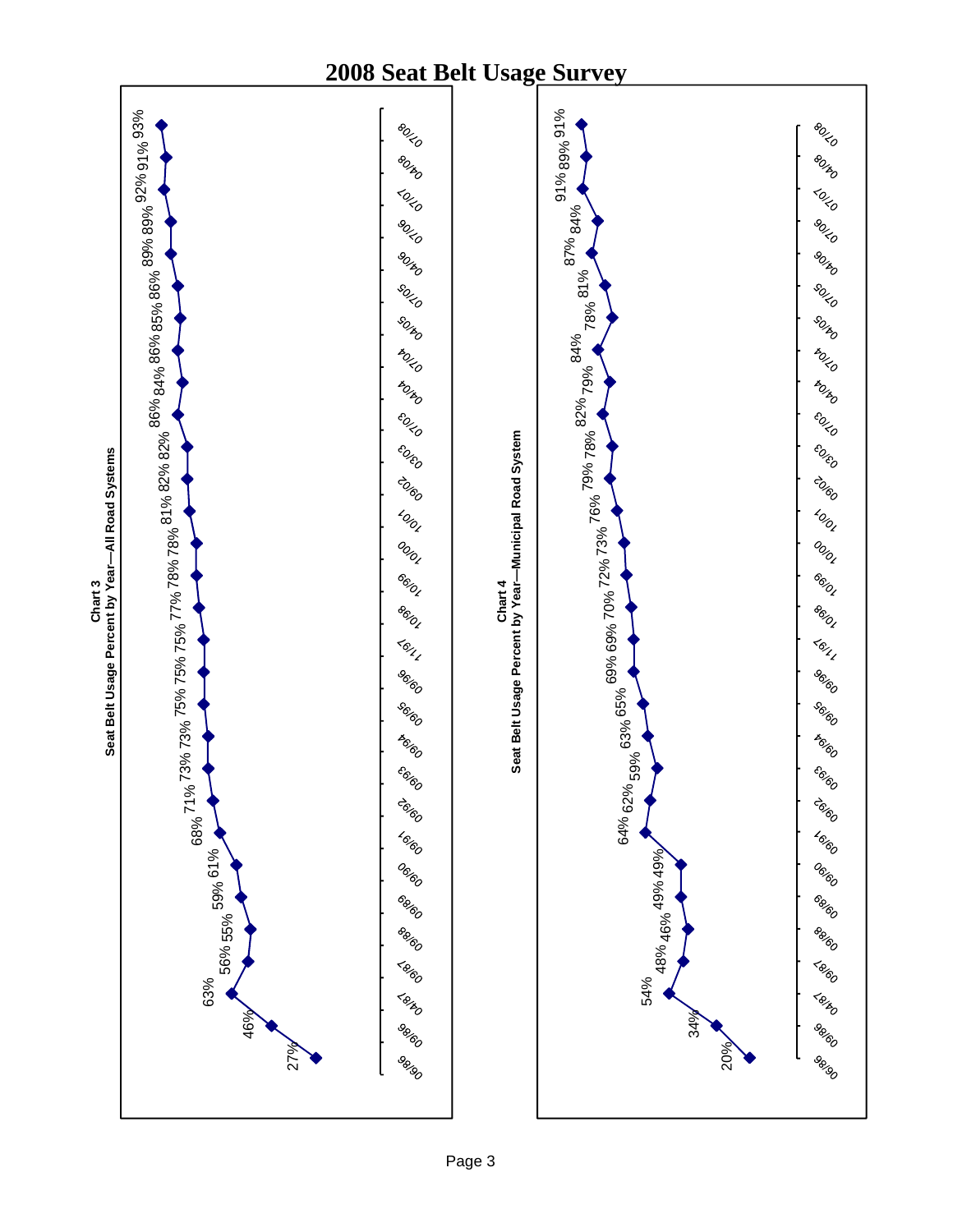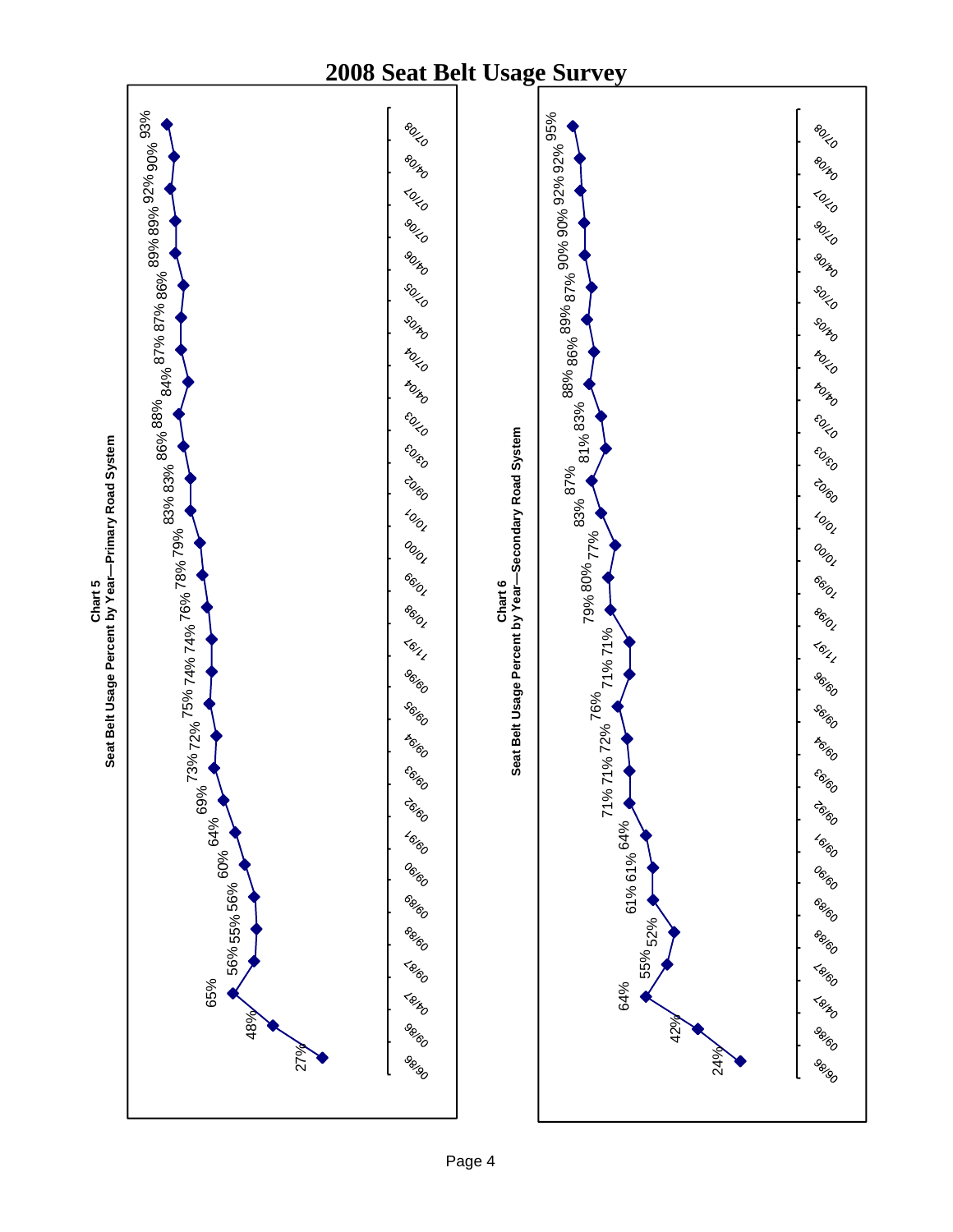

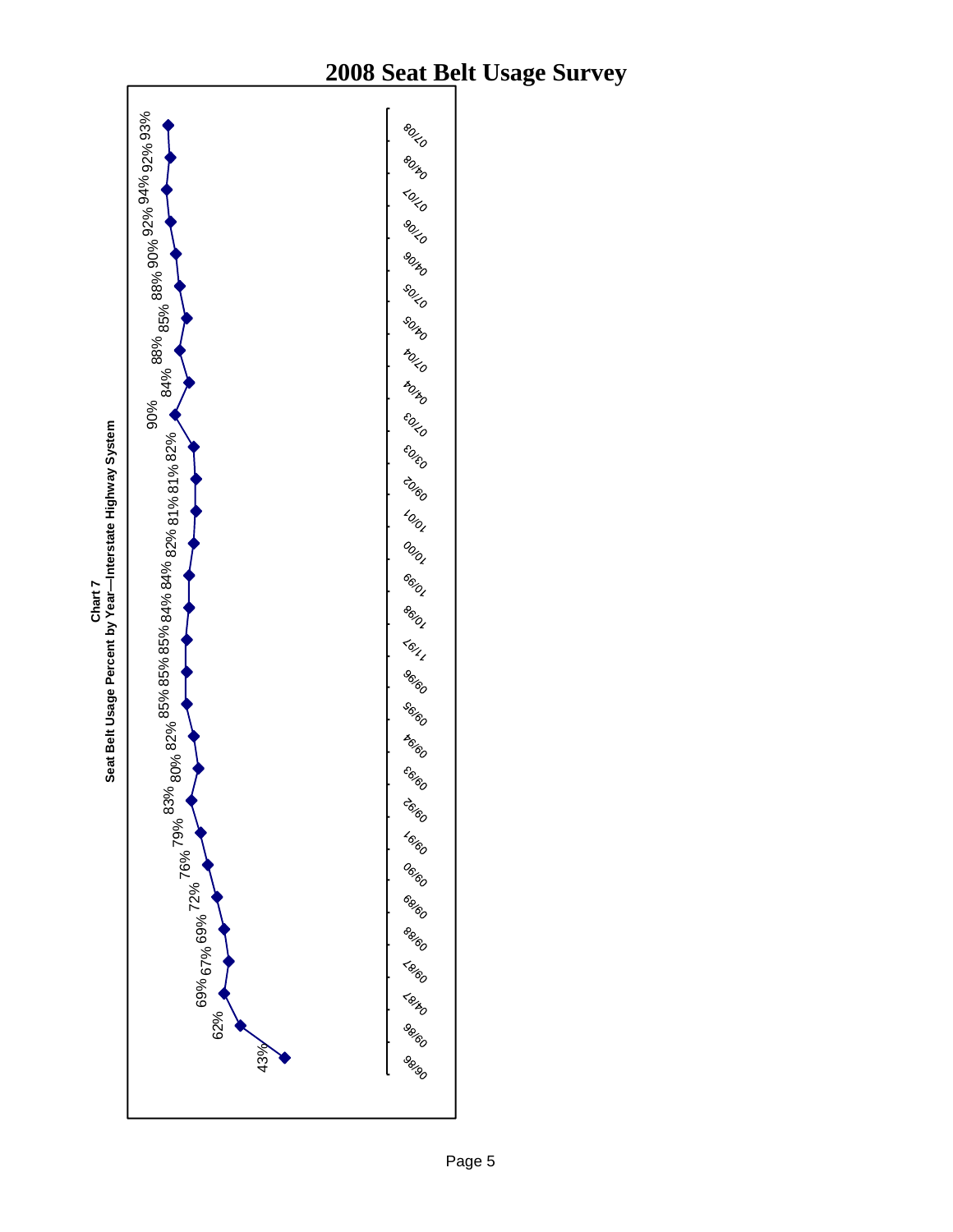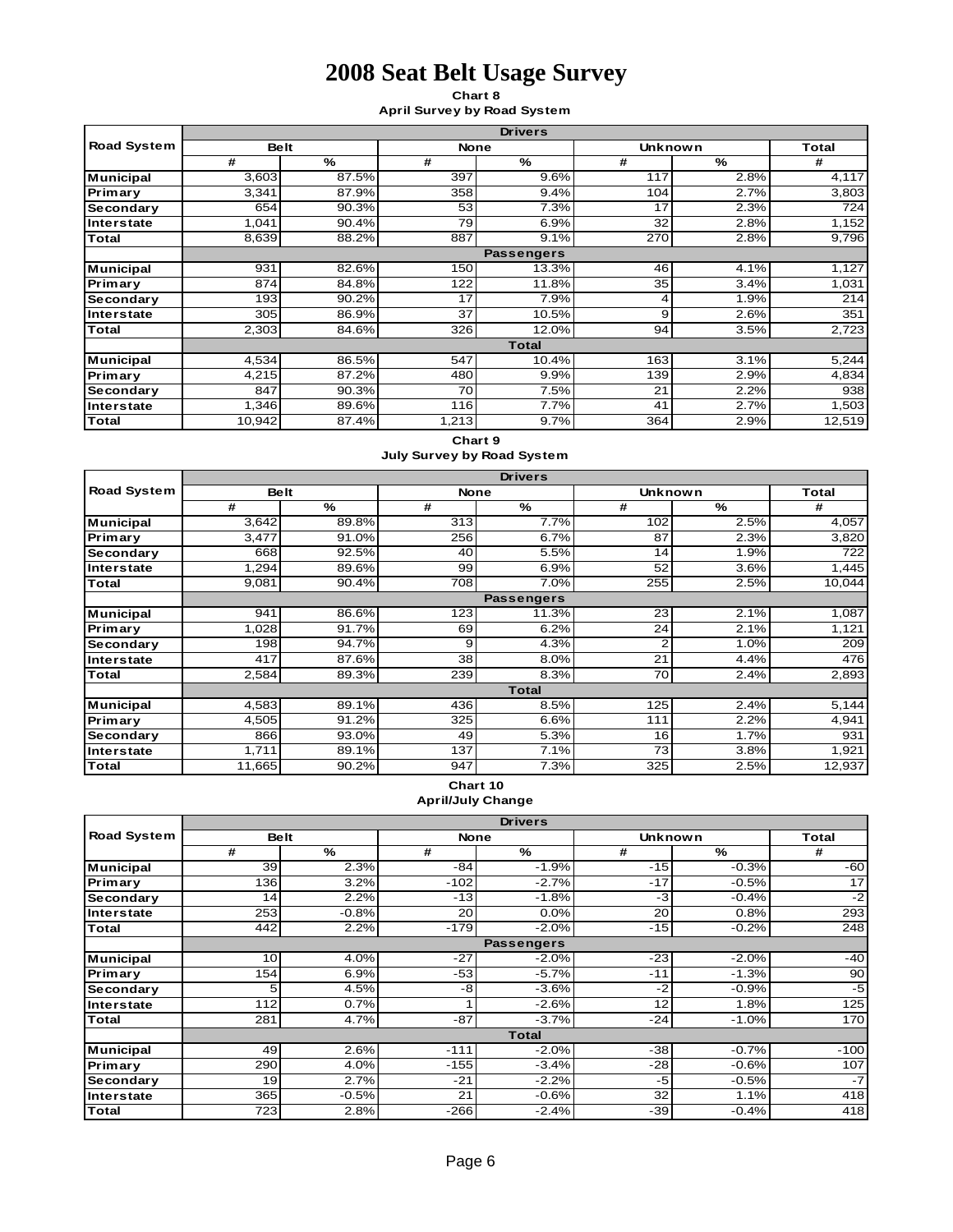**Chart 8 April Survey by Road System**

|                    | <b>Drivers</b> |       |                 |                   |                |      |        |  |  |
|--------------------|----------------|-------|-----------------|-------------------|----------------|------|--------|--|--|
| <b>Road System</b> | <b>Belt</b>    |       | <b>None</b>     |                   | <b>Unknown</b> |      | Total  |  |  |
|                    | #              | %     | #               | %                 | #              | %    | #      |  |  |
| <b>Municipal</b>   | 3,603          | 87.5% | 397             | 9.6%              | 117            | 2.8% | 4,117  |  |  |
| Primary            | 3,341          | 87.9% | 358             | 9.4%              | 104            | 2.7% | 3,803  |  |  |
| Secondary          | 654            | 90.3% | 53              | 7.3%              | 17             | 2.3% | 724    |  |  |
| Interstate         | 1,041          | 90.4% | 79              | 6.9%              | 32             | 2.8% | 1,152  |  |  |
| Total              | 8,639          | 88.2% | 887             | 9.1%              | 270            | 2.8% | 9,796  |  |  |
|                    |                |       |                 | <b>Passengers</b> |                |      |        |  |  |
| <b>Municipal</b>   | 931            | 82.6% | 150             | 13.3%             | 46             | 4.1% | 1,127  |  |  |
| Primary            | 874            | 84.8% | 122             | 11.8%             | 35             | 3.4% | 1,031  |  |  |
| Secondary          | 193            | 90.2% | 17              | 7.9%              | 4              | 1.9% | 214    |  |  |
| Interstate         | 305            | 86.9% | $\overline{37}$ | 10.5%             | 9              | 2.6% | 351    |  |  |
| Total              | 2,303          | 84.6% | 326             | 12.0%             | 94             | 3.5% | 2,723  |  |  |
|                    |                |       |                 | <b>Total</b>      |                |      |        |  |  |
| <b>Municipal</b>   | 4,534          | 86.5% | 547             | 10.4%             | 163            | 3.1% | 5,244  |  |  |
| Primary            | 4,215          | 87.2% | 480             | 9.9%              | 139            | 2.9% | 4,834  |  |  |
| Secondary          | 847            | 90.3% | 70              | 7.5%              | 21             | 2.2% | 938    |  |  |
| Interstate         | 1,346          | 89.6% | 116             | 7.7%              | 41             | 2.7% | 1,503  |  |  |
| Total              | 10,942         | 87.4% | 1,213           | 9.7%              | 364            | 2.9% | 12,519 |  |  |

#### **Chart 9**

**July Survey by Road System**

|                    | <b>Drivers</b> |       |             |                   |                |      |        |  |  |
|--------------------|----------------|-------|-------------|-------------------|----------------|------|--------|--|--|
| <b>Road System</b> | <b>Belt</b>    |       | <b>None</b> |                   | <b>Unknown</b> |      | Total  |  |  |
|                    | #              | %     | #           | %                 | #              | %    | #      |  |  |
| <b>Municipal</b>   | 3,642          | 89.8% | 313         | 7.7%              | 102            | 2.5% | 4,057  |  |  |
| Primary            | 3,477          | 91.0% | 256         | 6.7%              | 87             | 2.3% | 3,820  |  |  |
| Secondary          | 668            | 92.5% | 40          | 5.5%              | 14             | 1.9% | 722    |  |  |
| Interstate         | 1,294          | 89.6% | 99          | 6.9%              | 52             | 3.6% | 1,445  |  |  |
| <b>Total</b>       | 9,081          | 90.4% | 708         | 7.0%              | 255            | 2.5% | 10,044 |  |  |
|                    |                |       |             | <b>Passengers</b> |                |      |        |  |  |
| <b>Municipal</b>   | 941            | 86.6% | 123         | 11.3%             | 23             | 2.1% | 1,087  |  |  |
| Primary            | 1,028          | 91.7% | 69          | 6.2%              | 24             | 2.1% | 1,121  |  |  |
| Secondary          | 198            | 94.7% | 9           | 4.3%              | 2              | 1.0% | 209    |  |  |
| Interstate         | 417            | 87.6% | 38          | 8.0%              | 21             | 4.4% | 476    |  |  |
| <b>Total</b>       | 2,584          | 89.3% | 239         | 8.3%              | 70             | 2.4% | 2,893  |  |  |
|                    |                |       |             | <b>Total</b>      |                |      |        |  |  |
| Municipal          | 4,583          | 89.1% | 436         | 8.5%              | 125            | 2.4% | 5,144  |  |  |
| Primary            | 4,505          | 91.2% | 325         | 6.6%              | 111            | 2.2% | 4,941  |  |  |
| Secondary          | 866            | 93.0% | 49          | 5.3%              | 16             | 1.7% | 931    |  |  |
| Interstate         | 1,711          | 89.1% | 137         | 7.1%              | 73             | 3.8% | 1,921  |  |  |
| Total              | 11,665         | 90.2% | 947         | 7.3%              | 325            | 2.5% | 12,937 |  |  |

#### **Chart 10 April/July Change**

|                    |             |         |             | <b>Drivers</b>    |                |               |        |
|--------------------|-------------|---------|-------------|-------------------|----------------|---------------|--------|
| <b>Road System</b> | <b>Belt</b> |         | <b>None</b> |                   | <b>Unknown</b> |               | Total  |
|                    | #           | %       | #           | %                 | #              | $\frac{9}{6}$ | #      |
| <b>Municipal</b>   | 39          | 2.3%    | $-84$       | $-1.9%$           | $-15$          | $-0.3%$       | -60    |
| Primary            | 136         | 3.2%    | $-102$      | $-2.7%$           | $-17$          | $-0.5%$       | 17     |
| Secondary          | 14          | 2.2%    | $-13$       | $-1.8%$           | $-3$           | $-0.4%$       | $-2$   |
| <b>Interstate</b>  | 253         | $-0.8%$ | 20          | 0.0%              | 20             | 0.8%          | 293    |
| Total              | 442         | 2.2%    | $-179$      | $-2.0%$           | $-15$          | $-0.2%$       | 248    |
|                    |             |         |             | <b>Passengers</b> |                |               |        |
| <b>Municipal</b>   | 10          | 4.0%    | $-27$       | $-2.0%$           | $-23$          | $-2.0%$       | $-40$  |
| Primary            | 154         | 6.9%    | $-53$       | $-5.7%$           | $-11$          | $-1.3%$       | 90     |
| Secondary          | 5           | 4.5%    | -8          | $-3.6%$           | $-2$           | $-0.9%$       | $-5$   |
| Interstate         | 112         | 0.7%    |             | $-2.6%$           | 12             | 1.8%          | 125    |
| Total              | 281         | 4.7%    | $-87$       | $-3.7%$           | $-24$          | $-1.0%$       | 170    |
|                    |             |         |             | <b>Total</b>      |                |               |        |
| <b>Municipal</b>   | 49          | 2.6%    | $-111$      | $-2.0%$           | $-38$          | $-0.7%$       | $-100$ |
| Primary            | 290         | 4.0%    | $-155$      | $-3.4%$           | $-28$          | $-0.6%$       | 107    |
| Secondary          | 19          | 2.7%    | $-21$       | $-2.2%$           | $-5$           | $-0.5%$       | $-7$   |
| Interstate         | 365         | $-0.5%$ | 21          | $-0.6%$           | 32             | 1.1%          | 418    |
| Total              | 723         | 2.8%    | $-266$      | $-2.4%$           | $-39$          | $-0.4%$       | 418    |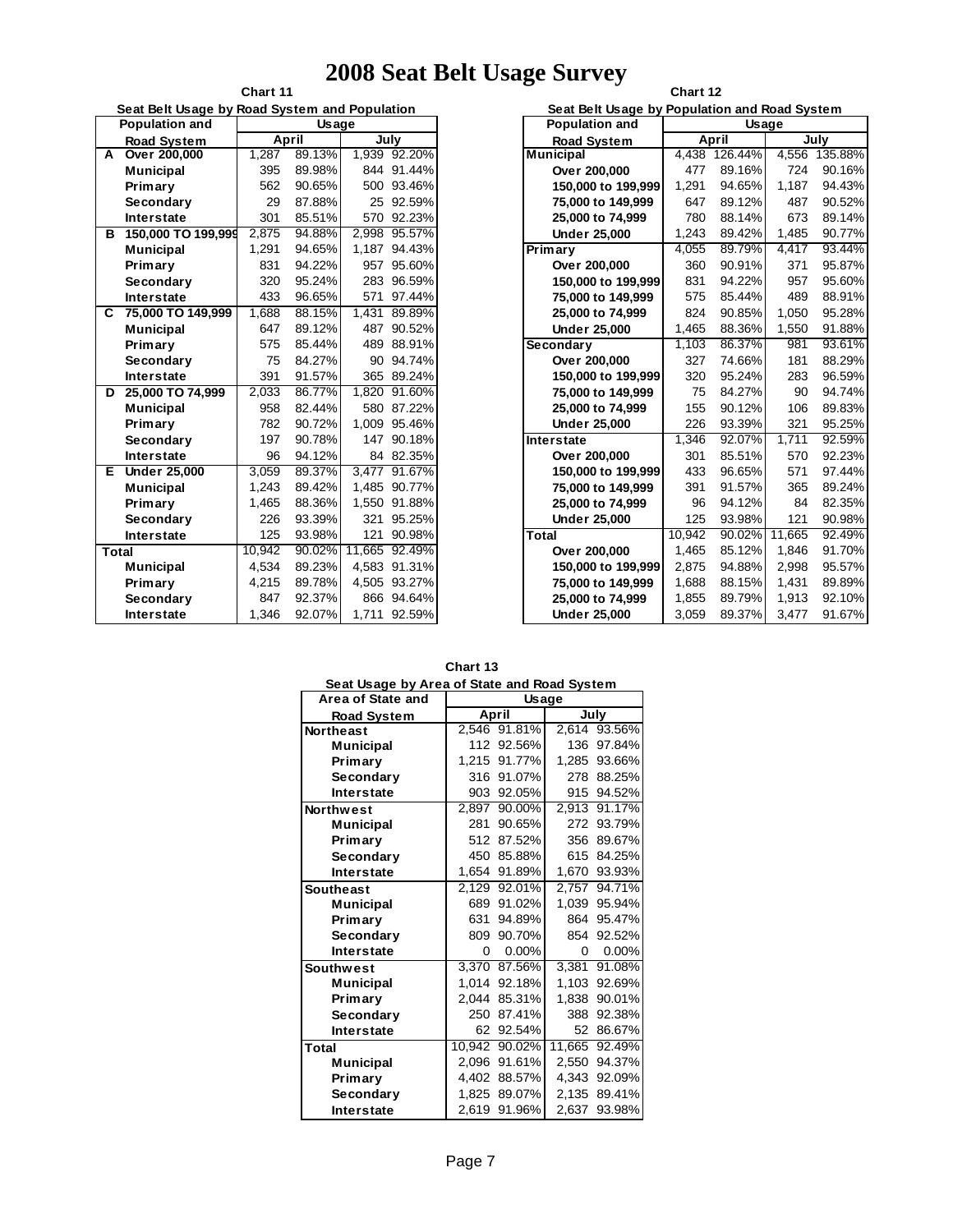|                                               | Chart 11            |        |              |        |        |  |  |  |
|-----------------------------------------------|---------------------|--------|--------------|--------|--------|--|--|--|
| Seat Belt Usage by Road System and Population |                     |        |              |        |        |  |  |  |
|                                               | Population and      |        | <b>Usage</b> |        |        |  |  |  |
|                                               | <b>Road System</b>  |        | April        | July   |        |  |  |  |
| A                                             | Over 200,000        | 1,287  | 89.13%       | 1,939  | 92.20% |  |  |  |
|                                               | <b>Municipal</b>    | 395    | 89.98%       | 844    | 91.44% |  |  |  |
|                                               | Primary             | 562    | 90.65%       | 500    | 93.46% |  |  |  |
|                                               | Secondary           | 29     | 87.88%       | 25     | 92.59% |  |  |  |
|                                               | <b>Interstate</b>   | 301    | 85.51%       | 570    | 92.23% |  |  |  |
| в                                             | 150,000 TO 199,999  | 2.875  | 94.88%       | 2.998  | 95.57% |  |  |  |
|                                               | <b>Municipal</b>    | 1,291  | 94.65%       | 1,187  | 94.43% |  |  |  |
|                                               | Primary             | 831    | 94.22%       | 957    | 95.60% |  |  |  |
|                                               | Secondary           | 320    | 95.24%       | 283    | 96.59% |  |  |  |
|                                               | <b>Interstate</b>   | 433    | 96.65%       | 571    | 97.44% |  |  |  |
| C                                             | 75,000 TO 149,999   | 1,688  | 88.15%       | 1,431  | 89.89% |  |  |  |
|                                               | <b>Municipal</b>    | 647    | 89.12%       | 487    | 90.52% |  |  |  |
|                                               | Primary             | 575    | 85.44%       | 489    | 88.91% |  |  |  |
|                                               | Secondary           | 75     | 84.27%       | 90     | 94.74% |  |  |  |
|                                               | <b>Interstate</b>   | 391    | 91.57%       | 365    | 89.24% |  |  |  |
| D                                             | 25,000 TO 74,999    | 2.033  | 86.77%       | 1.820  | 91.60% |  |  |  |
|                                               | <b>Municipal</b>    | 958    | 82.44%       | 580    | 87.22% |  |  |  |
|                                               | Primary             | 782    | 90.72%       | 1,009  | 95.46% |  |  |  |
|                                               | Secondary           | 197    | 90.78%       | 147    | 90.18% |  |  |  |
|                                               | <b>Interstate</b>   | 96     | 94.12%       | 84     | 82.35% |  |  |  |
| Е                                             | <b>Under 25,000</b> | 3,059  | 89.37%       | 3.477  | 91.67% |  |  |  |
|                                               | <b>Municipal</b>    | 1,243  | 89.42%       | 1,485  | 90.77% |  |  |  |
|                                               | Primary             | 1,465  | 88.36%       | 1.550  | 91.88% |  |  |  |
|                                               | Secondary           | 226    | 93.39%       | 321    | 95.25% |  |  |  |
|                                               | <b>Interstate</b>   | 125    | 93.98%       | 121    | 90.98% |  |  |  |
| <b>Total</b>                                  |                     | 10.942 | 90.02%       | 11.665 | 92.49% |  |  |  |
|                                               | <b>Municipal</b>    | 4,534  | 89.23%       | 4,583  | 91.31% |  |  |  |
|                                               | Primary             | 4,215  | 89.78%       | 4,505  | 93.27% |  |  |  |
|                                               | Secondary           | 847    | 92.37%       | 866    | 94.64% |  |  |  |
|                                               | <b>Interstate</b>   | 1,346  | 92.07%       | 1,711  | 92.59% |  |  |  |

| $\mathbf{r}$ $\mathbf{r}$ $\mathbf{r}$ $\mathbf{r}$<br>Chart 12 |        |         |        |         |  |  |  |
|-----------------------------------------------------------------|--------|---------|--------|---------|--|--|--|
| Seat Belt Usage by Population and Road System                   |        |         |        |         |  |  |  |
| <b>Population and</b>                                           |        | Usage   |        |         |  |  |  |
| <b>Road System</b>                                              |        | April   |        | July    |  |  |  |
| <b>Municipal</b>                                                | 4,438  | 126.44% | 4,556  | 135.88% |  |  |  |
| Over 200,000                                                    | 477    | 89.16%  | 724    | 90.16%  |  |  |  |
| 150,000 to 199.999                                              | 1,291  | 94.65%  | 1,187  | 94.43%  |  |  |  |
| 75,000 to 149,999                                               | 647    | 89.12%  | 487    | 90.52%  |  |  |  |
| 25,000 to 74,999                                                | 780    | 88.14%  | 673    | 89.14%  |  |  |  |
| <b>Under 25,000</b>                                             | 1,243  | 89.42%  | 1,485  | 90.77%  |  |  |  |
| Primary                                                         | 4,055  | 89.79%  | 4,417  | 93.44%  |  |  |  |
| Over 200,000                                                    | 360    | 90.91%  | 371    | 95.87%  |  |  |  |
| 150,000 to 199,999                                              | 831    | 94.22%  | 957    | 95.60%  |  |  |  |
| 75,000 to 149,999                                               | 575    | 85.44%  | 489    | 88.91%  |  |  |  |
| 25,000 to 74,999                                                | 824    | 90.85%  | 1,050  | 95.28%  |  |  |  |
| <b>Under 25,000</b>                                             | 1,465  | 88.36%  | 1,550  | 91.88%  |  |  |  |
| Secondary                                                       | 1.103  | 86.37%  | 981    | 93.61%  |  |  |  |
| Over 200,000                                                    | 327    | 74.66%  | 181    | 88.29%  |  |  |  |
| 150,000 to 199,999                                              | 320    | 95.24%  | 283    | 96.59%  |  |  |  |
| 75,000 to 149,999                                               | 75     | 84.27%  | 90     | 94.74%  |  |  |  |
| 25,000 to 74,999                                                | 155    | 90.12%  | 106    | 89.83%  |  |  |  |
| <b>Under 25,000</b>                                             | 226    | 93.39%  | 321    | 95.25%  |  |  |  |
| <b>Interstate</b>                                               | 1,346  | 92.07%  | 1,711  | 92.59%  |  |  |  |
| Over 200,000                                                    | 301    | 85.51%  | 570    | 92.23%  |  |  |  |
| 150,000 to 199,999                                              | 433    | 96.65%  | 571    | 97.44%  |  |  |  |
| 75,000 to 149,999                                               | 391    | 91.57%  | 365    | 89.24%  |  |  |  |
| 25,000 to 74,999                                                | 96     | 94.12%  | 84     | 82.35%  |  |  |  |
| <b>Under 25,000</b>                                             | 125    | 93.98%  | 121    | 90.98%  |  |  |  |
| Total                                                           | 10,942 | 90.02%  | 11,665 | 92.49%  |  |  |  |
| Over 200,000                                                    | 1,465  | 85.12%  | 1.846  | 91.70%  |  |  |  |
| 150,000 to 199,999                                              | 2,875  | 94.88%  | 2,998  | 95.57%  |  |  |  |
| 75,000 to 149,999                                               | 1,688  | 88.15%  | 1,431  | 89.89%  |  |  |  |
| 25,000 to 74,999                                                | 1,855  | 89.79%  | 1,913  | 92.10%  |  |  |  |
| <b>Under 25,000</b>                                             | 3,059  | 89.37%  | 3,477  | 91.67%  |  |  |  |

| Seat Usage by Area of State and Road System |                    |               |        |            |  |  |  |
|---------------------------------------------|--------------------|---------------|--------|------------|--|--|--|
| Area of State and                           | <b>Usage</b>       |               |        |            |  |  |  |
| <b>Road System</b>                          |                    | April         | July   |            |  |  |  |
| <b>Northeast</b>                            |                    | 2,546 91.81%  | 2.614  | 93.56%     |  |  |  |
| <b>Municipal</b>                            | 112                | 92.56%        | 136    | 97.84%     |  |  |  |
| Primary                                     | 1.215              | 91.77%        | 1,285  | 93.66%     |  |  |  |
| Secondary                                   | 316                | 91.07%        | 278    | 88.25%     |  |  |  |
| <b>Interstate</b>                           |                    | 903 92.05%    |        | 915 94.52% |  |  |  |
| <b>Northwest</b>                            | 2,897              | 90.00%        | 2,913  | 91.17%     |  |  |  |
| <b>Municipal</b>                            | 281                | 90.65%        | 272    | 93.79%     |  |  |  |
| Primary                                     | 512                | 87.52%        | 356    | 89.67%     |  |  |  |
| Secondary                                   | 450                | 85.88%        | 615    | 84.25%     |  |  |  |
| <b>Interstate</b>                           | 1.654              | 91.89%        | 1.670  | 93.93%     |  |  |  |
| <b>Southeast</b>                            | 2,129              | 92.01%        | 2,757  | 94.71%     |  |  |  |
| <b>Municipal</b>                            | 689                | 91.02%        | 1.039  | 95.94%     |  |  |  |
| Primary                                     | 631                | 94.89%        | 864    | 95.47%     |  |  |  |
| Secondary                                   | 809                | 90.70%        | 854    | 92.52%     |  |  |  |
| <b>Interstate</b>                           | 0                  | $0.00\%$      | 0      | $0.00\%$   |  |  |  |
| <b>Southwest</b>                            | $\overline{3,370}$ | 87.56%        | 3,381  | 91.08%     |  |  |  |
| Municipal                                   | 1.014              | 92.18%        | 1.103  | 92.69%     |  |  |  |
| Primary                                     | 2.044              | 85.31%        | 1.838  | 90.01%     |  |  |  |
| Secondary                                   | 250                | 87.41%        | 388    | 92.38%     |  |  |  |
| <b>Interstate</b>                           | 62                 | 92.54%        | 52     | 86.67%     |  |  |  |
| <b>Total</b>                                |                    | 10.942 90.02% | 11,665 | 92.49%     |  |  |  |
| Municipal                                   | 2.096              | 91.61%        | 2,550  | 94.37%     |  |  |  |
| Primary                                     | 4.402              | 88.57%        | 4.343  | 92.09%     |  |  |  |
| Secondary                                   |                    | 1.825 89.07%  | 2,135  | 89.41%     |  |  |  |
| <b>Interstate</b>                           | 2,619              | 91.96%        | 2,637  | 93.98%     |  |  |  |

| <b>Chart 13</b><br>Seat Usage by Area of State and Road System<br><b>Usage</b> |       |  |  |
|--------------------------------------------------------------------------------|-------|--|--|
|                                                                                |       |  |  |
| rea of State and                                                               |       |  |  |
| <b>Dood System</b>                                                             | Δnril |  |  |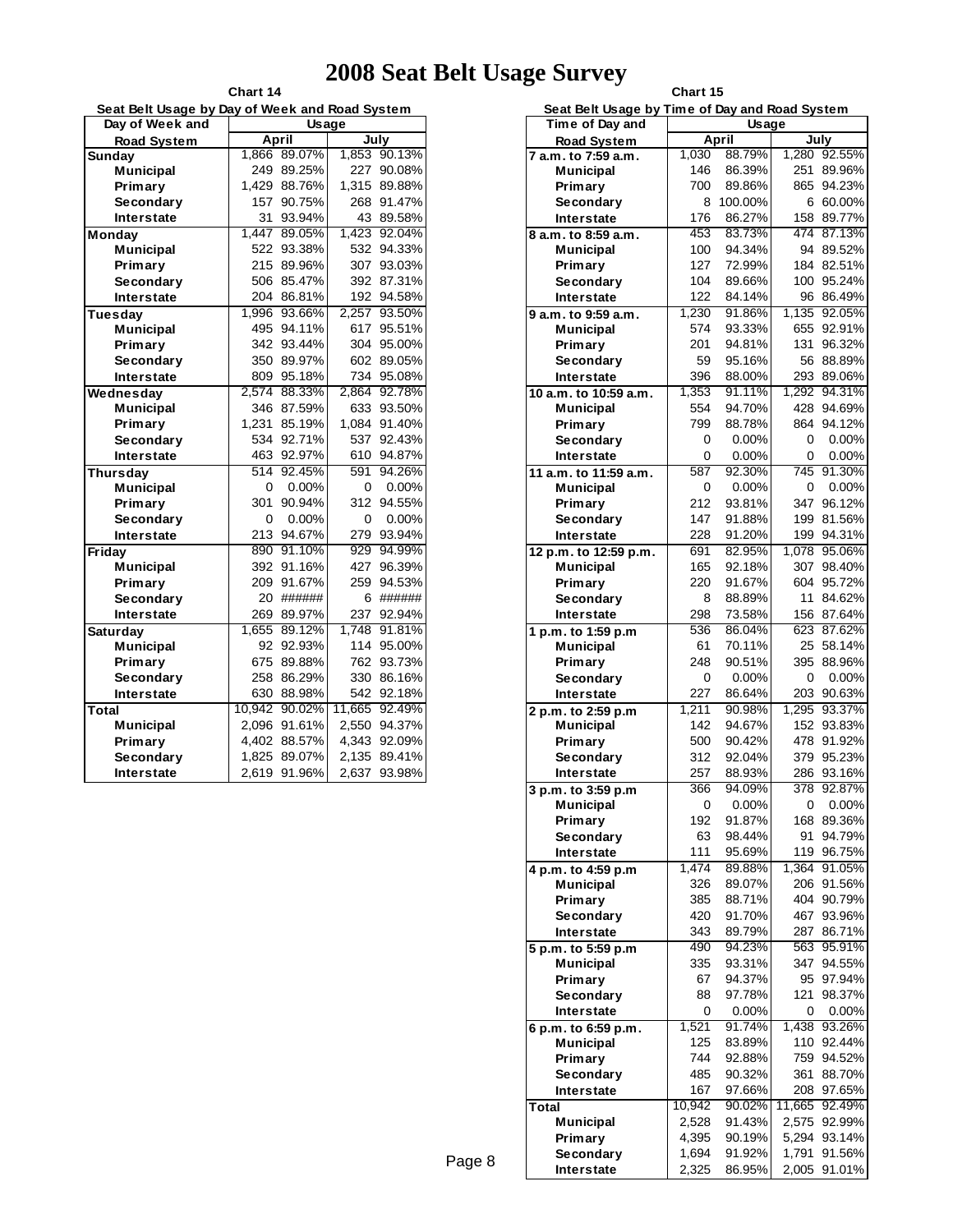| Seat Belt Usage by Day of Week and Road System |              |            |        |              |  |  |
|------------------------------------------------|--------------|------------|--------|--------------|--|--|
| Day of Week and                                | <b>Usage</b> |            |        |              |  |  |
| <b>Road System</b>                             |              | April      | July   |              |  |  |
| <b>Sunday</b>                                  | 1.866        | 89.07%     | 1.853  | 90.13%       |  |  |
| Municipal                                      | 249          | 89.25%     | 227    | 90.08%       |  |  |
| Primary                                        | 1,429        | 88.76%     | 1,315  | 89.88%       |  |  |
| Secondary                                      | 157          | 90.75%     | 268    | 91.47%       |  |  |
| Interstate                                     | 31           | 93.94%     | 43     | 89.58%       |  |  |
| Monday                                         | 1.447        | 89.05%     | 1.423  | 92.04%       |  |  |
| <b>Municipal</b>                               | 522          | 93.38%     | 532    | 94.33%       |  |  |
| Primary                                        | 215          | 89.96%     | 307    | 93.03%       |  |  |
| Secondary                                      |              | 506 85.47% | 392    | 87.31%       |  |  |
| Interstate                                     | 204          | 86.81%     | 192    | 94.58%       |  |  |
| <b>Tuesday</b>                                 | 1,996        | 93.66%     | 2,257  | 93.50%       |  |  |
| <b>Municipal</b>                               | 495          | 94.11%     | 617    | 95.51%       |  |  |
| Primary                                        | 342          | 93.44%     | 304    | 95.00%       |  |  |
| Secondary                                      | 350          | 89.97%     | 602    | 89.05%       |  |  |
| <b>Interstate</b>                              | 809          | 95.18%     | 734    | 95.08%       |  |  |
| Wednesday                                      | 2.574        | 88.33%     | 2,864  | 92.78%       |  |  |
| <b>Municipal</b>                               | 346          | 87.59%     | 633    | 93.50%       |  |  |
| Primary                                        | 1,231        | 85.19%     | 1,084  | 91.40%       |  |  |
| Secondary                                      | 534          | 92.71%     | 537    | 92.43%       |  |  |
| Interstate                                     | 463          | 92.97%     | 610    | 94.87%       |  |  |
| <b>Thursday</b>                                | 514          | 92.45%     | 591    | 94.26%       |  |  |
| <b>Municipal</b>                               | 0            | 0.00%      | 0      | 0.00%        |  |  |
| Primary                                        | 301          | 90.94%     | 312    | 94.55%       |  |  |
| Secondary                                      | 0            | 0.00%      | 0      | 0.00%        |  |  |
| <b>Interstate</b>                              | 213          | 94.67%     | 279    | 93.94%       |  |  |
| Friday                                         | 890          | 91.10%     | 929    | 94.99%       |  |  |
| <b>Municipal</b>                               | 392          | 91.16%     | 427    | 96.39%       |  |  |
| Primary                                        | 209          | 91.67%     | 259    | 94.53%       |  |  |
| Secondary                                      | 20           | ######     | 6      | ######       |  |  |
| <b>Interstate</b>                              | 269          | 89.97%     | 237    | 92.94%       |  |  |
| <b>Saturday</b>                                | 1,655        | 89.12%     | 1.748  | 91.81%       |  |  |
| <b>Municipal</b>                               | 92           | 92.93%     | 114    | 95.00%       |  |  |
| Primary                                        | 675          | 89.88%     | 762    | 93.73%       |  |  |
| Secondary                                      | 258          | 86.29%     | 330    | 86.16%       |  |  |
| <b>Interstate</b>                              | 630          | 88.98%     | 542    | 92.18%       |  |  |
| Total                                          | 10,942       | 90.02%     | 11,665 | 92.49%       |  |  |
| <b>Municipal</b>                               | 2,096        | 91.61%     |        | 2,550 94.37% |  |  |
| Primary                                        | 4,402        | 88.57%     | 4,343  | 92.09%       |  |  |
| Secondary                                      | 1,825        | 89.07%     | 2,135  | 89.41%       |  |  |
| Interstate                                     | 2,619        | 91.96%     | 2,637  | 93.98%       |  |  |

**Chart 14**

| Ð                                         | Chart 15                                       |                  |            |                      |  |  |
|-------------------------------------------|------------------------------------------------|------------------|------------|----------------------|--|--|
|                                           | Seat Belt Usage by Time of Day and Road System |                  |            |                      |  |  |
| Time of Day and                           |                                                | Usage            |            |                      |  |  |
| <b>Road System</b><br>7 a.m. to 7:59 a.m. | 1,030                                          | April<br>88.79%  |            | July<br>1,280 92.55% |  |  |
| <b>Municipal</b>                          | 146                                            | 86.39%           | 251        | 89.96%               |  |  |
| Primary                                   | 700                                            | 89.86%           | 865        | 94.23%               |  |  |
| Secondary                                 | 8                                              | 100.00%          |            | 6 60.00%             |  |  |
| Interstate                                | 176                                            | 86.27%           |            | 158 89.77%           |  |  |
| 8 a.m. to 8:59 a.m.                       | 453                                            | 83.73%           | 474        | 87.13%               |  |  |
| <b>Municipal</b>                          | 100                                            | 94.34%           |            | 94 89.52%            |  |  |
| Primary                                   | 127                                            | 72.99%           |            | 184 82.51%           |  |  |
| Secondary                                 | 104                                            | 89.66%           | 100        | 95.24%               |  |  |
| Interstate                                | 122                                            | 84.14%           |            | 96 86.49%            |  |  |
| 9 a.m. to 9:59 a.m.                       | 1,230                                          | 91.86%           |            | 1,135 92.05%         |  |  |
| <b>Municipal</b>                          | 574                                            | 93.33%           | 655        | 92.91%               |  |  |
| Primary                                   | 201<br>59                                      | 94.81%<br>95.16% | 131        | 96.32%<br>56 88.89%  |  |  |
| Secondary<br>Interstate                   | 396                                            | 88.00%           |            | 293 89.06%           |  |  |
|                                           | 1,353                                          | 91.11%           | 1,292      | 94.31%               |  |  |
| 10 a.m. to 10:59 a.m.<br><b>Municipal</b> | 554                                            | 94.70%           | 428        | 94.69%               |  |  |
| Primary                                   | 799                                            | 88.78%           | 864        | 94.12%               |  |  |
| Secondary                                 | 0                                              | $0.00\%$         | 0          | 0.00%                |  |  |
| <b>Interstate</b>                         | 0                                              | $0.00\%$         | 0          | 0.00%                |  |  |
| 11 a.m. to 11:59 a.m.                     | 587                                            | 92.30%           | 745        | 91.30%               |  |  |
| <b>Municipal</b>                          | 0                                              | $0.00\%$         | 0          | $0.00\%$             |  |  |
| Primary                                   | 212                                            | 93.81%           | 347        | 96.12%               |  |  |
| Secondary                                 | 147                                            | 91.88%           |            | 199 81.56%           |  |  |
| Interstate                                | 228                                            | 91.20%           |            | 199 94.31%           |  |  |
| 12 p.m. to 12:59 p.m.                     | 691                                            | 82.95%           |            | 1,078 95.06%         |  |  |
| <b>Municipal</b>                          | 165                                            | 92.18%           |            | 307 98.40%           |  |  |
| Primary                                   | 220                                            | 91.67%           | 604        | 95.72%               |  |  |
| Secondary                                 | 8                                              | 88.89%           | 11         | 84.62%               |  |  |
| Interstate                                | 298<br>536                                     | 73.58%<br>86.04% | 623        | 156 87.64%<br>87.62% |  |  |
| 1 p.m. to 1:59 p.m<br><b>Municipal</b>    | 61                                             | 70.11%           | 25         | 58.14%               |  |  |
| Primary                                   | 248                                            | 90.51%           | 395        | 88.96%               |  |  |
| Secondary                                 | 0                                              | $0.00\%$         | 0          | 0.00%                |  |  |
| <b>Interstate</b>                         | 227                                            | 86.64%           | 203        | 90.63%               |  |  |
| 2 p.m. to 2:59 p.m                        | 1.211                                          | 90.98%           | 1.295      | 93.37%               |  |  |
| <b>Municipal</b>                          | 142                                            | 94.67%           |            | 152 93.83%           |  |  |
| Primary                                   | 500                                            | 90.42%           |            | 478 91.92%           |  |  |
| Secondary                                 | 312                                            | 92.04%           |            | 379 95.23%           |  |  |
| <b>Interstate</b>                         | 257                                            | 88.93%           | 286        | 93.16%               |  |  |
| 3 p.m. to 3:59 p.m                        | 366                                            | 94.09%           |            | 378 92.87%           |  |  |
| <b>Municipal</b>                          | 0                                              | 0.00%            | 0          | 0.00%                |  |  |
| Primary                                   | 192                                            | 91.87%           | 168<br>91  | 89.36%               |  |  |
| Secondary<br><b>Interstate</b>            | 63<br>111                                      | 98.44%<br>95.69% | 119        | 94.79%<br>96.75%     |  |  |
| 4 p.m. to 4:59 p.m                        | 1,474                                          | 89.88%           | 1,364      | 91.05%               |  |  |
| <b>Municipal</b>                          | 326                                            | 89.07%           |            | 206 91.56%           |  |  |
| Primary                                   | 385                                            | 88.71%           | 404        | 90.79%               |  |  |
| Secondary                                 | 420                                            | 91.70%           | 467        | 93.96%               |  |  |
| Interstate                                | 343                                            | 89.79%           | 287        | 86.71%               |  |  |
| 5 p.m. to 5:59 p.m                        | 490                                            | 94.23%           | 563        | 95.91%               |  |  |
| <b>Municipal</b>                          | 335                                            | 93.31%           | 347        | 94.55%               |  |  |
| Primary                                   | 67                                             | 94.37%           | 95         | 97.94%               |  |  |
| Secondary                                 | 88                                             | 97.78%           | 121        | 98.37%               |  |  |
| Interstate                                | 0                                              | $0.00\%$         | 0          | 0.00%                |  |  |
| 6 p.m. to 6:59 p.m.                       | 1,521                                          | 91.74%           | 1,438      | 93.26%               |  |  |
| <b>Municipal</b>                          | 125<br>744                                     | 83.89%<br>92.88% | 110<br>759 | 92.44%<br>94.52%     |  |  |
| Primary<br>Secondary                      | 485                                            | 90.32%           | 361        | 88.70%               |  |  |
| Interstate                                | 167                                            | 97.66%           | 208        | 97.65%               |  |  |
| <b>Total</b>                              | 10,942                                         | 90.02%           | 11,665     | 92.49%               |  |  |
| <b>Municipal</b>                          | 2,528                                          | 91.43%           | 2,575      | 92.99%               |  |  |
| Primary                                   | 4,395                                          | 90.19%           | 5,294      | 93.14%               |  |  |
| Secondary                                 | 1,694                                          | 91.92%           | 1,791      | 91.56%               |  |  |
| Interstate                                | 2,325                                          | 86.95%           | 2,005      | 91.01%               |  |  |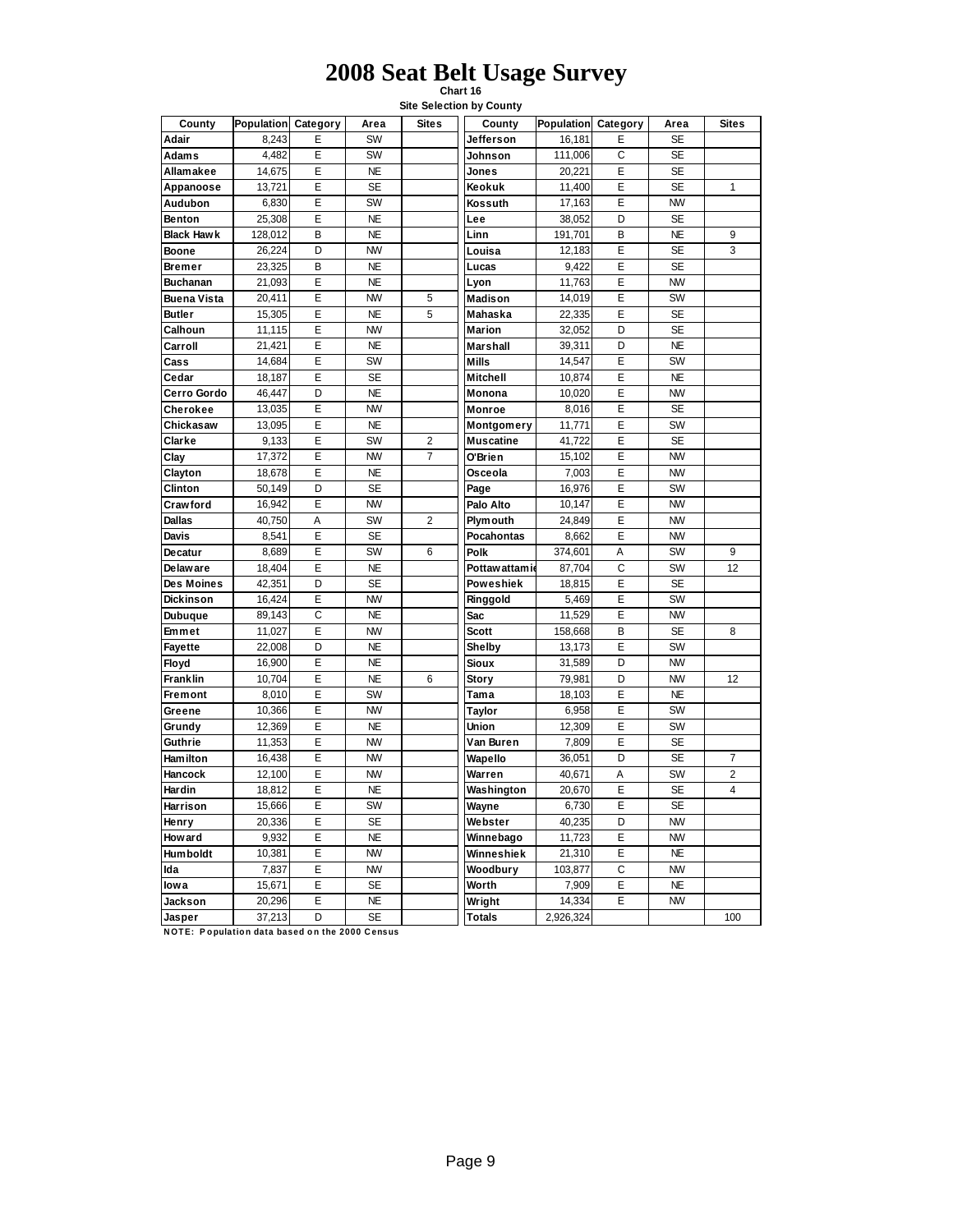**Chart 16 Site Selection by County**

| County             | Population Category |                | Area      | <b>Sites</b>   | County          | Population Category |   | Area      | <b>Sites</b>   |
|--------------------|---------------------|----------------|-----------|----------------|-----------------|---------------------|---|-----------|----------------|
| Adair              | 8,243               | E              | SW        |                | Jefferson       | 16,181              | E | <b>SE</b> |                |
| <b>Adams</b>       | 4.482               | E              | SW        |                | Johnson         | 111,006             | C | <b>SE</b> |                |
| Allamakee          | 14,675              | Ε              | <b>NE</b> |                | Jones           | 20,221              | E | <b>SE</b> |                |
| Appanoose          | 13,721              | E              | <b>SE</b> |                | Keokuk          | 11,400              | E | <b>SE</b> | 1              |
| Audubon            | 6,830               | Ε              | SW        |                | Kossuth         | 17,163              | E | <b>NW</b> |                |
| Benton             | 25,308              | E              | <b>NE</b> |                | Lee             | 38,052              | D | <b>SE</b> |                |
| <b>Black Hawk</b>  | 128,012             | B              | <b>NE</b> |                | Linn            | 191,701             | B | <b>NE</b> | 9              |
| Boone              | 26,224              | D              | <b>NW</b> |                | Louisa          | 12,183              | E | <b>SE</b> | 3              |
| Bremer             | 23,325              | B              | <b>NE</b> |                | Lucas           | 9,422               | E | <b>SE</b> |                |
| <b>Buchanan</b>    | 21,093              | Ε              | <b>NE</b> |                | Lyon            | 11,763              | E | <b>NW</b> |                |
| <b>Buena Vista</b> | 20,411              | E              | <b>NW</b> | 5              | Madison         | 14,019              | E | SW        |                |
| <b>Butler</b>      | 15,305              | Ε              | <b>NE</b> | 5              | Mahaska         | 22,335              | E | <b>SE</b> |                |
| Calhoun            | 11,115              | E              | <b>NW</b> |                | <b>Marion</b>   | 32,052              | D | <b>SE</b> |                |
| Carroll            | 21,421              | E              | <b>NE</b> |                | <b>Marshall</b> | 39,311              | D | <b>NE</b> |                |
| Cass               | 14,684              | E              | SW        |                | <b>Mills</b>    | 14,547              | E | SW        |                |
| Cedar              | 18,187              | E              | <b>SE</b> |                | Mitchell        | 10,874              | E | <b>NE</b> |                |
| Cerro Gordo        | 46,447              | D              | <b>NE</b> |                | Monona          | 10,020              | E | <b>NW</b> |                |
| Cherokee           | 13,035              | Ε              | <b>NW</b> |                | Monroe          | 8,016               | E | <b>SE</b> |                |
| Chickasaw          | 13,095              | E              | <b>NE</b> |                | Montgomery      | 11,771              | E | SW        |                |
| Clarke             | 9,133               | E              | SW        | $\overline{2}$ | Muscatine       | 41,722              | E | <b>SE</b> |                |
| Clay               | 17,372              | E              | <b>NW</b> | $\overline{7}$ | O'Brien         | 15,102              | E | <b>NW</b> |                |
| Clayton            | 18,678              | E              | <b>NE</b> |                | Osceola         | 7,003               | E | <b>NW</b> |                |
| Clinton            | 50,149              | D              | <b>SE</b> |                | Page            | 16,976              | E | SW        |                |
| Crawford           | 16,942              | E              | <b>NW</b> |                | Palo Alto       | 10,147              | E | <b>NW</b> |                |
| <b>Dallas</b>      | 40,750              | Α              | SW        | $\overline{2}$ | <b>Plymouth</b> | 24,849              | E | <b>NW</b> |                |
| <b>Davis</b>       | 8,541               | E              | <b>SE</b> |                | Pocahontas      | 8,662               | E | <b>NW</b> |                |
| Decatur            | 8,689               | E              | SW        | 6              | Polk            | 374,601             | Α | SW        | 9              |
| De law are         | 18,404              | E              | <b>NE</b> |                | Pottaw attami   | 87,704              | C | SW        | 12             |
| Des Moines         | 42,351              | D              | <b>SE</b> |                | Poweshiek       | 18,815              | E | <b>SE</b> |                |
| <b>Dickinson</b>   | 16,424              | E              | <b>NW</b> |                | Ringgold        | 5,469               | E | SW        |                |
| <b>Dubuque</b>     | 89,143              | C              | <b>NE</b> |                | Sac             | 11,529              | E | <b>NW</b> |                |
| Emmet              | 11,027              | E              | <b>NW</b> |                | <b>Scott</b>    | 158,668             | B | <b>SE</b> | 8              |
| Fayette            | 22,008              | D              | <b>NE</b> |                | Shelby          | 13,173              | E | SW        |                |
| Floyd              | 16.900              | E              | <b>NE</b> |                | Sioux           | 31,589              | D | <b>NW</b> |                |
| Franklin           | 10,704              | E              | <b>NE</b> | 6              | Story           | 79,981              | D | <b>NW</b> | 12             |
| Fremont            | 8,010               | E              | SW        |                | Tama            | 18,103              | E | <b>NE</b> |                |
| Greene             | 10,366              | E              | <b>NW</b> |                | Taylor          | 6,958               | E | SW        |                |
| Grundy             | 12,369              | E              | <b>NE</b> |                | Union           | 12,309              | E | SW        |                |
| Guthrie            | 11,353              | $\overline{E}$ | <b>NW</b> |                | Van Buren       | 7,809               | Ē | <b>SE</b> |                |
| <b>Ham ilton</b>   | 16,438              | E              | <b>NW</b> |                | Wapello         | 36,051              | D | <b>SE</b> | $\overline{7}$ |
| Hancock            | 12,100              | E              | <b>NW</b> |                | Warren          | 40,671              | A | SW        | $\overline{2}$ |
| <b>Hardin</b>      | 18,812              | Ε              | <b>NE</b> |                | Washington      | 20,670              | E | <b>SE</b> | 4              |
| Harrison           | 15,666              | E              | SW        |                | Wayne           | 6,730               | E | <b>SE</b> |                |
| Henry              | 20,336              | E              | <b>SE</b> |                | Webster         | 40,235              | D | <b>NW</b> |                |
| Howard             | 9,932               | E              | <b>NE</b> |                | Winnebago       | 11,723              | E | <b>NW</b> |                |
| <b>Hum boldt</b>   | 10,381              | E              | <b>NW</b> |                | Winneshiek      | 21,310              | E | <b>NE</b> |                |
| Ida                | 7,837               | E              | <b>NW</b> |                | Woodbury        | 103,877             | C | <b>NW</b> |                |
| low a              | 15,671              | E              | <b>SE</b> |                | Worth           | 7,909               | E | <b>NE</b> |                |
| Jackson            | 20,296              | E              | <b>NE</b> |                | Wright          | 14,334              | E | <b>NW</b> |                |
| Jasper             | 37,213              | D              | <b>SE</b> |                | <b>Totals</b>   | 2,926,324           |   |           | 100            |

**NOTE: Population data based on the 2000 Census**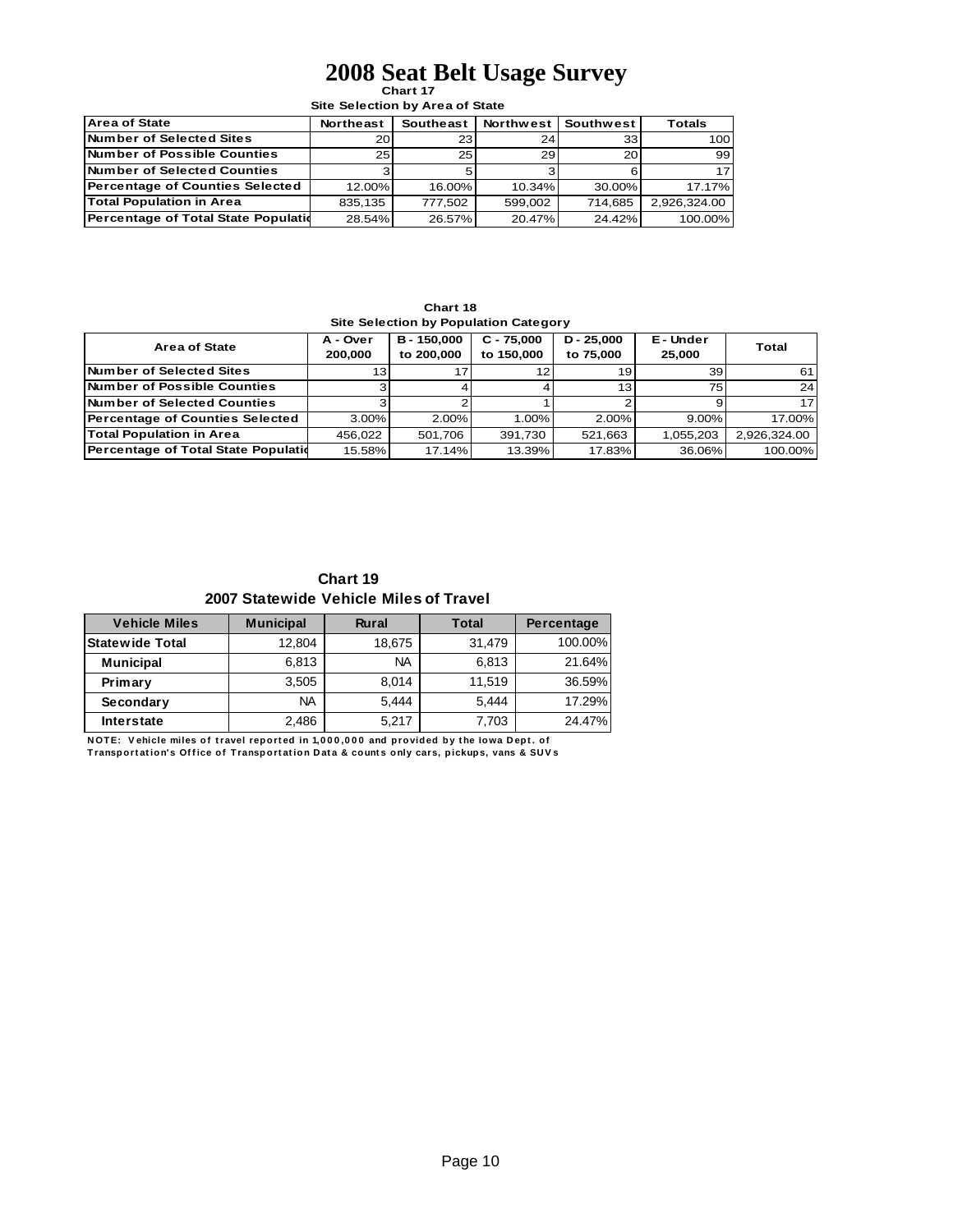#### **Chart 17 2008 Seat Belt Usage Survey**

**Site Selection by Area of State**

| <b>Area of State</b>                        | <b>Northeast</b> | Southeast       | <b>Northwest</b> | Southwest | <b>Totals</b> |
|---------------------------------------------|------------------|-----------------|------------------|-----------|---------------|
| <b>Number of Selected Sites</b>             | 20 <sub>1</sub>  | 23              | 24 <sub>1</sub>  | 33        | 100           |
| <b>INumber of Possible Counties</b>         | 25 <sub>1</sub>  | 25 <sub>l</sub> | 29 l             | 20        | 99            |
| <b>Number of Selected Counties</b>          |                  |                 |                  |           | 17            |
| Percentage of Counties Selected             | $12.00\%$        | 16.00%          | $10.34\%$        | 30.00%    | 17.17%        |
| <b>Total Population in Area</b>             | 835.135          | 777.502         | 599.002          | 714.685   | 2.926.324.00  |
| <b>Percentage of Total State Population</b> | 28.54%           | 26.57%          | 20.47%           | 24.42%    | 100.00%       |

**Chart 18**

| Site Selection by Population Category  |                     |                         |                            |                           |                   |                 |  |  |  |
|----------------------------------------|---------------------|-------------------------|----------------------------|---------------------------|-------------------|-----------------|--|--|--|
| <b>Area of State</b>                   | A - Over<br>200.000 | B-150.000<br>to 200,000 | $C - 75.000$<br>to 150,000 | $D - 25.000$<br>to 75,000 | E-Under<br>25.000 | Total           |  |  |  |
| Number of Selected Sites               | 13                  |                         |                            | 19 <sub>1</sub>           | 39                | 61              |  |  |  |
| Number of Possible Counties            |                     |                         |                            | 13.                       | 75                | 24 <sup>1</sup> |  |  |  |
| Number of Selected Counties            |                     |                         |                            |                           |                   | 17              |  |  |  |
| <b>Percentage of Counties Selected</b> | $3.00\%$            | 2.00%                   | 1.00%                      | 2.00%                     | $9.00\%$          | 17.00%          |  |  |  |
| <b>Total Population in Area</b>        | 456.022             | 501.706                 | 391.730                    | 521.663                   | 1.055.203         | 2,926,324.00    |  |  |  |
| Percentage of Total State Population   | 15.58%              | 17.14%                  | 13.39%                     | 17.83%                    | 36.06%            | 100.00%         |  |  |  |

**Chart 19 2007 Statewide Vehicle Miles of Travel**

| <b>Vehicle Miles</b>   | <b>Municipal</b> | <b>Rural</b> | <b>Total</b> | Percentage |
|------------------------|------------------|--------------|--------------|------------|
| <b>Statewide Total</b> | 12,804           | 18,675       | 31,479       | 100.00%    |
| <b>Municipal</b>       | 6,813            | <b>NA</b>    | 6,813        | 21.64%     |
| Primary                | 3.505            | 8.014        | 11.519       | 36.59%     |
| Secondary              | <b>NA</b>        | 5.444        | 5.444        | 17.29%     |
| <b>Interstate</b>      | 2,486            | 5.217        | 7,703        | 24.47%     |

**NOTE:** Vehicle miles of travel reported in 1,000,000 and provided by the lowa Dept. of Transportation's Office of Transportation Data & counts only cars, pickups, vans & SUVs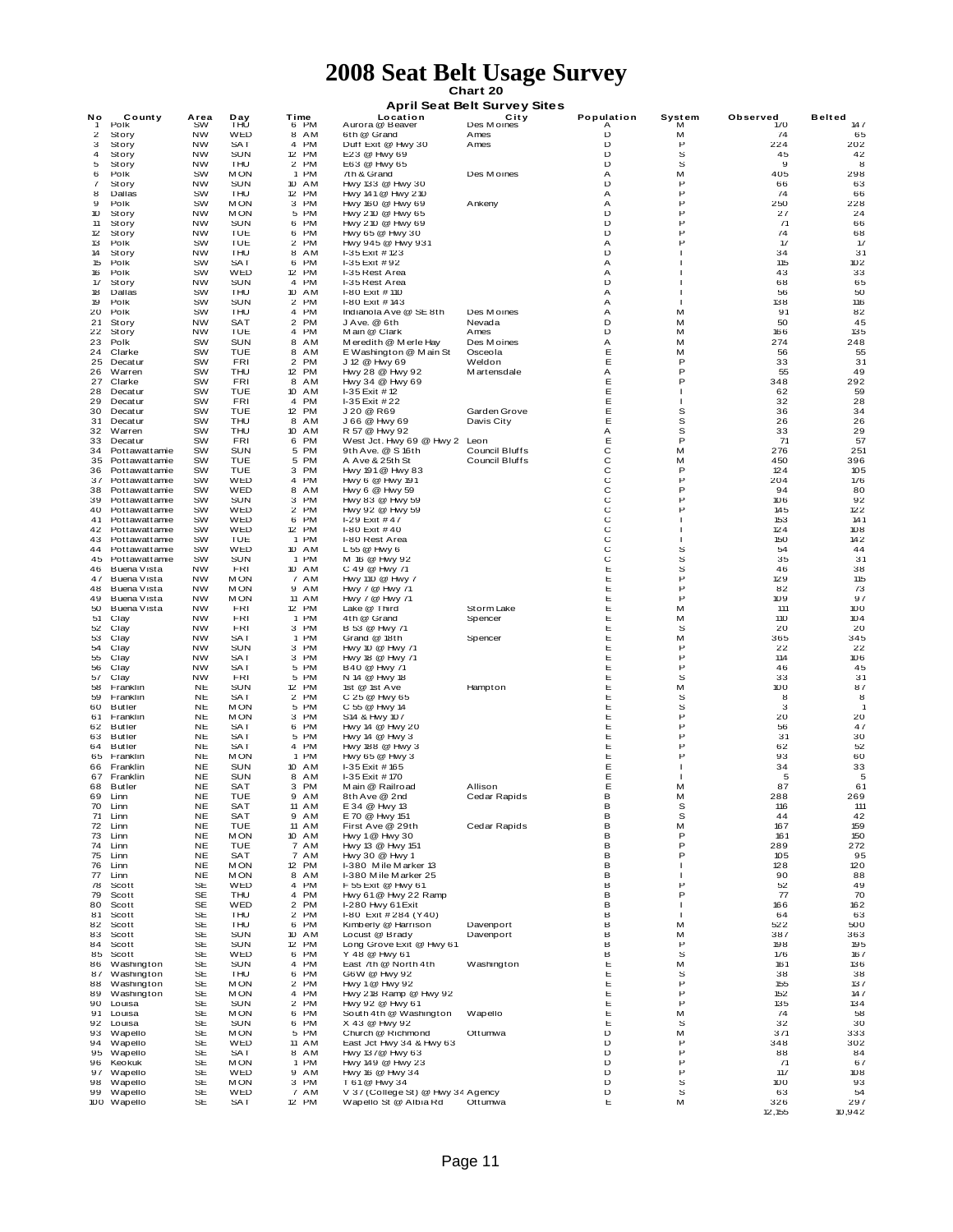# **Chart 20 2008 Seat Belt Usage Survey**

| VIIUI LEV |  |  |                             |  |  |  |  |  |
|-----------|--|--|-----------------------------|--|--|--|--|--|
|           |  |  | nril Saat Ralt Survay Sitae |  |  |  |  |  |

|                         |                                |                        |                   |                                         |                                             | <b>April Seat Belt Survey Sites</b> |            |                |            |               |
|-------------------------|--------------------------------|------------------------|-------------------|-----------------------------------------|---------------------------------------------|-------------------------------------|------------|----------------|------------|---------------|
| Νo                      | County                         | Area                   | Day               | Time                                    | Location                                    | City                                | Population | System         | Observed   | <b>Belted</b> |
| ำ                       | Polk                           | <b>SW</b>              | THỦ               | 6 PM                                    | Aurora @ Beaver                             | Des Moines                          | A          | м              | 170<br>74  | 147           |
| $\overline{\mathbf{c}}$ | Story                          | <b>NW</b><br><b>NW</b> | WED<br>SAT        | 8 AM<br><b>PM</b><br>4                  | 6th @ Grand<br>Duff Exit @ Hwy 30           | Ames                                | D<br>D     | М<br>P         | 224        | 65<br>202     |
| 3<br>4                  | Story<br>Story                 | <b>NW</b>              | <b>SUN</b>        | <b>PM</b><br>12                         | E23 @ Hwy 69                                | Ames                                | D          | S              | 45         | 42            |
| 5                       | Story                          | <b>NW</b>              | THU               | <b>PM</b><br>2                          | E63 @ Hwy 65                                |                                     | D          | s              | 9          | 8             |
| 6                       | Polk                           | SW                     | <b>MON</b>        | <b>PM</b><br>$\mathbf{1}$               | 7th & Grand                                 | Des M oines                         | Α          | М              | 405        | 298           |
| 7                       | Story                          | <b>NW</b>              | <b>SUN</b>        | 10<br>AM                                | Hwy 133 @ Hwy 30                            |                                     | D          | P              | 66         | 63            |
| 8                       | Dallas                         | SW                     | THU               | PM<br>12                                | Hwy 141 @ Hwy 210                           |                                     | Α          | Ρ              | 74         | 66            |
| 9                       | Polk                           | SW                     | <b>MON</b>        | 3<br>PM                                 | Hwy 160 @ Hwy 69                            | Ankeny                              | Α          | Ρ              | 250        | 228           |
| 10                      | Story                          | <b>NW</b>              | <b>MON</b>        | 5<br>PM                                 | Hwy 210 @ Hwy 65                            |                                     | D          | P              | 27         | 24            |
| 11                      | Story                          | <b>NW</b>              | <b>SUN</b>        | PM<br>6                                 | Hwy 210 @ Hwy 69                            |                                     | D          | P              | 71         | 66            |
| 12                      | Story                          | NW                     | TUE               | 6<br><b>PM</b>                          | Hwy 65 @ Hwy 30                             |                                     | D          | Ρ              | 74         | 68            |
| 13                      | Polk                           | SW                     | TUE               | 2<br><b>PM</b>                          | Hwy 945 @ Hwy 931                           |                                     | Α          | Р              | 17         | 17            |
| 14                      | Story                          | <b>NW</b>              | THU               | 8<br>AM                                 | I-35 Exit #123                              |                                     | D          |                | 34         | 31            |
| 15                      | Polk                           | SW                     | <b>SAT</b>        | <b>PM</b><br>6                          | I-35 Exit #92                               |                                     | Α          |                | 115        | 102           |
| 16                      | Polk                           | SW                     | WED               | PM<br>12                                | I-35 Rest Area                              |                                     | Α          |                | 43         | 33            |
| 17                      | Story                          | <b>NW</b>              | <b>SUN</b>        | 4<br>PM                                 | I-35 Rest Area                              |                                     | D          |                | 68         | 65<br>50      |
| 18<br>19                | Dallas<br>Polk                 | SW<br>SW               | THU<br><b>SUN</b> | 10<br>AM<br>$\overline{2}$<br><b>PM</b> | I-80 Exit # 110<br>I-80 Exit # 143          |                                     | Α<br>Α     | -1             | 56<br>138  | 116           |
| 20                      | Polk                           | SW                     | THU               | <b>PM</b><br>4                          | Indianola Ave @ SE 8th                      | Des Moines                          | Α          | М              | 91         | 82            |
| 21                      | Story                          | <b>NW</b>              | SAT               | 2<br>PM                                 | J Ave. @ 6th                                | Nevada                              | D          | м              | 50         | 45            |
| 22                      | Story                          | <b>NW</b>              | TUE               | 4<br><b>PM</b>                          | Main @ Clark                                | Ames                                | D          | M              | 166        | 135           |
| 23                      | Polk                           | SW                     | <b>SUN</b>        | 8<br>AM                                 | Meredith @ Merle Hay                        | Des Moines                          | А          | М              | 274        | 248           |
| 24                      | Clarke                         | SW                     | TUE               | 8<br>AM                                 | E Washington @ Main St                      | Osceola                             | Е          | M              | 56         | 55            |
| 25                      | Decat ur                       | SW                     | FRI               | 2<br>PM                                 | J 12 @ Hwy 69                               | Weldon                              | Е          | Ρ              | 33         | 31            |
| 26                      | Warren                         | SW                     | THU               | 12<br>PM                                | Hwy 28 @ Hwy 92                             | M artensdale                        | Α          | Ρ              | 55         | 49            |
| 27                      | Clarke                         | SW                     | <b>FRI</b>        | 8<br>AM                                 | Hwy 34 @ Hwy 69                             |                                     | Е          | P              | 348        | 292           |
| 28                      | Decat ur                       | SW                     | TUE               | AM<br>10                                | I-35 Exit #12                               |                                     | Е          | -1             | 62         | 59            |
| 29                      | Decatur                        | sw                     | FRI               | <b>PM</b><br>4                          | I-35 Exit #22                               |                                     | Е          |                | 32         | 28            |
| 30                      | Decat ur                       | SW                     | TUE               | 12<br>PM                                | J 20 @ R69                                  | Garden Grove                        | Е          | s              | 36         | 34            |
| 31                      | Decat ur                       | SW                     | THU               | 8<br>AM                                 | J 66 @ Hwy 69                               | Davis City                          | Е          | s              | 26         | 26            |
| 32                      | Warren                         | SW                     | THU               | 10<br>AM                                | R 57 @ Hwy 92                               |                                     | Α          | S              | 33         | 29            |
| 33                      | Decat ur                       | SW                     | <b>FRI</b>        | <b>PM</b><br>6                          | West Jct. Hwy 69 @ Hwy 2                    | Leon                                | Ε          | P              | 71         | 57            |
| 34                      | Pottawattamie                  | SW                     | SUN               | <b>PM</b><br>5                          | 9th Ave. @ S 16th                           | Council Bluffs                      | C          | M              | 276        | 251           |
| 35                      | Pottawattamie                  | SW                     | TUE               | <b>PM</b><br>5                          | A Ave & 25th St                             | Council Bluffs                      | C          | М              | 450        | 396           |
| 36                      | Pottawattamie                  | SW                     | <b>TUE</b>        | 3<br><b>PM</b>                          | Hwy 191 @ Hwy 83                            |                                     | C          | P              | 124        | 105           |
| 37                      | Pottawattamie                  | SW                     | WED               | PM<br>4                                 | Hwy 6 @ Hwy 191                             |                                     | C          | P              | 204        | 176           |
| 38                      | Pottawattamie                  | SW                     | WED               | 8<br>AM                                 | Hwy 6 @ Hwy 59                              |                                     | C          | Ρ              | 94         | 80            |
| 39                      | Pottawattamie                  | SW                     | <b>SUN</b>        | 3<br><b>PM</b>                          | Hwy 83 @ Hwy 59                             |                                     | C          | Ρ              | 106        | 92            |
| 40                      | Pottawattamie                  | SW                     | WED               | 2<br><b>PM</b>                          | Hwy 92 @ Hwy 59                             |                                     | С          | P              | 145        | 122           |
| 41                      | Pottawattamie                  | SW                     | WED               | <b>PM</b><br>6                          | I-29 Exit #47                               |                                     | С          | $\blacksquare$ | 153        | 141           |
| 42<br>43                | Pottawattamie                  | SW<br>SW               | WED<br>TUE        | PM<br>12<br>1 PM                        | $I-80$ Exit #40                             |                                     | C<br>C     | -1<br>-1       | 124<br>150 | 108           |
| 44                      | Pottawattamie<br>Pottawattamie | SW                     | WED               | 10 AM                                   | I-80 Rest Area<br>L 55 @ Hwy 6              |                                     | C          | s              | 54         | 142<br>44     |
| 45                      | Pottawattamie                  | SW                     | <b>SUN</b>        | 1 PM                                    | M 16 @ Hwy 92                               |                                     | C          | s              | 35         | 31            |
| 46                      | Buena Vista                    | <b>NW</b>              | FRI               | 10<br>AM                                | C 49 @ Hwy 71                               |                                     | Ε          | s              | 46         | 38            |
| 47                      | Buena Vista                    | <b>NW</b>              | <b>MON</b>        | 7<br>AM                                 | Hwy 110 @ Hwy 7                             |                                     | Е          | P              | 129        | 115           |
| 48                      | Buena Vista                    | <b>NW</b>              | <b>MON</b>        | 9<br>AM                                 | Hwy 7 @ Hwy 71                              |                                     | Е          | P              | 82         | 73            |
| 49                      | Buena Vista                    | <b>NW</b>              | <b>MON</b>        | 11<br>AM                                | Hwy 7 @ Hwy 71                              |                                     | Е          | P              | 109        | 97            |
| 50                      | Buena Vista                    | <b>NW</b>              | FRI               | 12<br>PM                                | Lake @ Third                                | Storm Lake                          | Е          | M              | 111        | 100           |
| 51                      | Clay                           | NW                     | FRI               | 1 PM                                    | 4th @ Grand                                 | Spencer                             | Е          | M              | 110        | 104           |
| 52                      | Clay                           | <b>NW</b>              | <b>FRI</b>        | 3 PM                                    | B 53 @ Hwy 71                               |                                     | Е          | s              | 20         | 20            |
| 53                      | Clay                           | <b>NW</b>              | <b>SAT</b>        | 1 PM                                    | Grand @ 18th                                | Spencer                             | Е          | м              | 365        | 345           |
| 54                      | Clay                           | <b>NW</b>              | SUN               | з<br>PM                                 | Hwy 10 @ Hwy 71                             |                                     | Е          | P              | 22         | 22            |
| 55                      | Clay                           | NW                     | SAT               | з<br><b>PM</b>                          | Hwy 18 @ Hwy 71                             |                                     | Е          | Ρ              | 114        | 106           |
| 56                      | Clay                           | <b>NW</b>              | <b>SAT</b>        | 5<br><b>PM</b>                          | B40 @ Hwy 71                                |                                     | Е          | Ρ              | 46         | 45            |
| 57                      | Clay                           | <b>NW</b>              | <b>FRI</b>        | 5<br>PM                                 | N 14 @ Hwy 18                               |                                     | Е          | S              | 33         | 31            |
| 58                      | Franklin                       | <b>NE</b>              | <b>SUN</b>        | <b>PM</b><br>12                         | 1st @ 1st Ave                               | Hampton                             | Е          | M              | 100        | 87            |
| 59                      | Franklin                       | NE                     | SAT               | $\overline{a}$<br><b>PM</b>             | C 25 @ Hwy 65                               |                                     | Ε          | S              | 8          | 8             |
| 60                      | <b>Butler</b>                  | <b>NE</b>              | <b>MON</b>        | <b>PM</b><br>5                          | C 55 @ Hwy 14                               |                                     | Ε          | S              | 3          | $\mathbf{1}$  |
| 61                      | Franklin                       | <b>NE</b>              | <b>MON</b>        | 3 PM                                    | S14 & Hwy 107                               |                                     | Ε          | P<br>P         | 20         | 20            |
| 62<br>63                | <b>Butler</b>                  | <b>NE</b><br><b>NE</b> | SAT<br>SAT        | 6<br><b>PM</b><br>5<br><b>PM</b>        | Hwy 14 @ Hwy 20                             |                                     | Ε<br>Е     | P              | 56<br>31   | 47<br>30      |
| 64                      | Butler<br>Butler               | NE                     | SAT               | PM<br>4                                 | Hwy 14 @ Hwy 3<br>Hwy 188 @ Hwy 3           |                                     | Е          | Р              | 62         | 52            |
| 65                      | Franklin                       | <b>NE</b>              | <b>MON</b>        | <b>PM</b><br>1                          | Hwy 65 @ Hwy 3                              |                                     | Е          | Р              | 93         | 60            |
| 66                      | Franklin                       | <b>NE</b>              | <b>SUN</b>        | 10<br>AM                                | I-35 Exit #165                              |                                     | Е          |                | 34         | 33            |
| 67                      | Franklin                       | <b>NE</b>              | <b>SUN</b>        | 8<br>AM                                 | I-35 Exit #170                              |                                     | Е          |                | 5          | 5             |
| 68                      | Butler                         | <b>NE</b>              | SAT               | PM<br>з                                 | Main @ Railroad                             | Allison                             | Е          | М              | 87         | 61            |
|                         | 69 Linn                        | <b>NE</b>              | TUE               | 9<br>AM                                 | 8th Ave @ 2nd                               | Cedar Rapids                        | в          | м              | 288        | 269           |
| 70                      | Linn                           | <b>NE</b>              | <b>SAT</b>        | 11 AM                                   | E 34 @ Hwy 13                               |                                     | в          | S              | 116        | 111           |
| 71                      | Linn                           | <b>NE</b>              | SAT               | 9 AM                                    | E 70 @ Hwy 151                              |                                     | в          | s              | 44         | 42            |
| 72                      | Linn                           | NE                     | TUE               | 11<br>AM                                | First Ave @ 29th                            | Cedar Rapids                        | В          | м              | 167        | 159           |
| 73                      | Linn                           | <b>NE</b>              | <b>MON</b>        | 10<br>AM                                | Hwy 1 @ Hwy 30                              |                                     | в          | P              | 161        | 150           |
| 74                      | Linn                           | <b>NE</b>              | TUE               | 7<br>AM                                 | Hwy 13 @ Hwy 151                            |                                     | B          | P              | 289        | 272           |
| 75                      | Linn                           | <b>NE</b>              | <b>SAT</b>        | AM<br>$\overline{7}$                    | Hwy 30 @ Hwy 1                              |                                     | B          | P              | 105        | 95            |
| 76                      | Linn                           | <b>NE</b>              | <b>MON</b>        | 12 PM                                   | I-380 Mile Marker 13                        |                                     | B          | $\mathbf{I}$   | 128        | 120           |
| 77                      | Linn                           | <b>NE</b>              | <b>MON</b>        | 8<br>AM                                 | I-380 Mile Marker 25                        |                                     | B          | -1             | 90         | 88            |
| 78                      | Scott                          | <b>SE</b>              | WED               | 4<br>PM                                 | F 55 Exit @ Hwy 61                          |                                     | в          | Р              | 52         | 49            |
| 79                      | Scott                          | <b>SE</b>              | THU               | 4 PM                                    | Hwy 61 @ Hwy 22 Ramp                        |                                     | в          | P              | 77         | 70            |
| 80                      | Scott                          | <b>SE</b>              | WED               | $\overline{2}$<br>PM                    | I-280 Hwy 61 Exit                           |                                     | в<br>в     | $\blacksquare$ | 166        | 162           |
| 81<br>82                | Scott<br>Scott                 | <b>SE</b><br><b>SE</b> | THU<br>THU        | 2<br><b>PM</b><br>6<br><b>PM</b>        | I-80 Exit #284 (Y40)<br>Kimberly @ Harrison | Davenport                           | В          | -1<br>м        | 64<br>522  | 63<br>500     |
| 83                      | Scott                          | <b>SE</b>              | <b>SUN</b>        | 10<br>AM                                | Locust @ Brady                              | Davenport                           | В          | м              | 387        | 363           |
| 84                      | Scott                          | <b>SE</b>              | SUN               | PM<br>12                                | Long Grove Exit @ Hwy 61                    |                                     | В          | P              | 198        | 195           |
| 85                      | Scott                          | <b>SE</b>              | WED               | 6<br>PM                                 | Y 48 @ Hwy 61                               |                                     | В          | S              | 176        | 167           |
| 86                      | Washington                     | SE                     | <b>SUN</b>        | 4<br>PM                                 | East 7th @ North 4th                        | Washington                          | E          | м              | 161        | 136           |
| 87                      | Washington                     | <b>SE</b>              | THU               | <b>PM</b><br>6                          | G6W @ Hwy 92                                |                                     | Е          | s              | 38         | 38            |
| 88                      | Washington                     | <b>SE</b>              | <b>MON</b>        | $\overline{c}$<br><b>PM</b>             | Hwy 1 @ Hwy 92                              |                                     | Ε          | P              | 155        | 137           |
| 89                      | Washington                     | <b>SE</b>              | <b>MON</b>        | <b>PM</b><br>4                          | Hwy 218 Ramp @ Hwy 92                       |                                     | Е          | P              | 152        | 147           |
| 90                      | Louisa                         | <b>SE</b>              | <b>SUN</b>        | $\overline{\mathbf{c}}$<br>PM           | Hwy 92 @ Hwy 61                             |                                     | Е          | P              | 135        | 134           |
| 91                      | Louisa                         | <b>SE</b>              | <b>MON</b>        | 6<br><b>PM</b>                          | South 4th @ Washington                      | Wapello                             | Е          | м              | 74         | 58            |
| 92                      | Louisa                         | <b>SE</b>              | <b>SUN</b>        | 6<br><b>PM</b>                          | X 43 @ Hwy 92                               |                                     | Е          | s              | 32         | 30            |
| 93                      | Wapello                        | <b>SE</b>              | <b>MON</b>        | 5<br>PM                                 | Church @ Richmond                           | Ottumwa                             | D          | M              | 371        | 333           |
| 94                      | Wapello                        | SE                     | WED               | 11 AM                                   | East Jct Hwy 34 & Hwy 63                    |                                     | D          | Ρ              | 348        | 302           |
| 95                      | Wapello                        | <b>SE</b>              | <b>SAT</b>        | 8 AM                                    | Hwy 137@ Hwy 63                             |                                     | D          | Ρ              | 88         | 84            |
| 96                      | Keokuk                         | <b>SE</b>              | <b>MON</b>        | 1 PM                                    | Hwy 149 @ Hwy 23                            |                                     | D          | P              | 71         | 67            |
| 97                      | Wapello                        | <b>SE</b>              | WED               | 9<br>AM                                 | Hwy 16 @ Hwy 34                             |                                     | D          | P              | 117        | 108           |
| 98                      | Wapello                        | SE                     | <b>MON</b>        | з<br><b>PM</b>                          | T61@ Hwy 34                                 |                                     | D          | S              | 100        | 93            |
| 99                      | Wapello                        | SE                     | WED               | 7<br>AM                                 | V 37 (College St) @ Hwy 34 Agency           |                                     | D          | s              | 63         | 54            |
|                         | 100 Wapello                    | <b>SE</b>              | <b>SAT</b>        | 12 PM                                   | Wapello St @ Albia Rd                       | Ottumwa                             | Е          | м              | 326        | 297           |
|                         |                                |                        |                   |                                         |                                             |                                     |            |                | 12,155     | 10,942        |